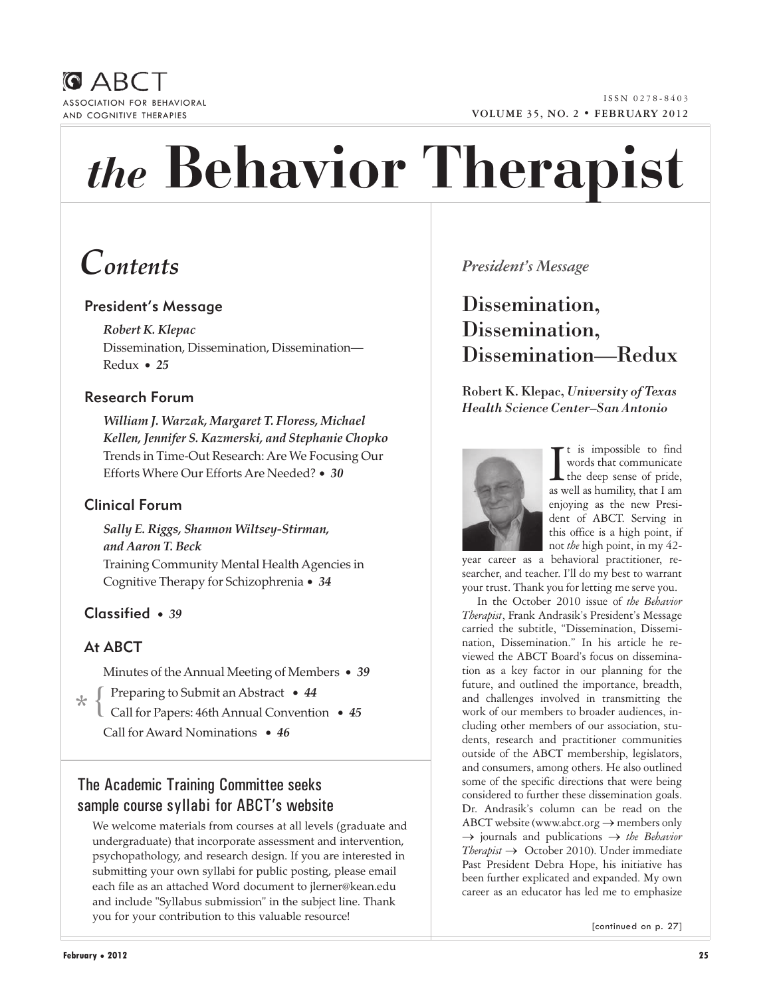



# *the* **Behavior Therapist**

# *Contents*

## President's Message

*Robert K. Klepac*  Dissemination, Dissemination, Dissemination― Redux • *25*

## Research Forum

*William J. Warzak, Margaret T. Floress, Michael Kellen, Jennifer S. Kazmerski, and Stephanie Chopko*  Trends in Time-Out Research: Are We Focusing Our Efforts Where Our Efforts Are Needed? • *30*

## Clinical Forum

*Sally E. Riggs, Shannon Wiltsey-Stirman, and Aaron T. Beck*  Training Community Mental Health Agencies in Cognitive Therapy for Schizophrenia • *34*

## Classified • *39*

## At ABCT

Minutes of the Annual Meeting of Members • *39*

Preparing to Submit an Abstract • *44*  $\star$ 

Call for Papers: 46th Annual Convention • *45* Call for Award Nominations • *46*  $\overline{ }$ 

The Academic Training Committee seeks sample course syllabi for ABCT's website

We welcome materials from courses at all levels (graduate and undergraduate) that incorporate assessment and intervention, psychopathology, and research design. If you are interested in submitting your own syllabi for public posting, please email each file as an attached Word document to jlerner@kean.edu and include "Syllabus submission" in the subject line. Thank you for your contribution to this valuable resource!

## *President's Message*

## Dissemination, Dissemination, Dissemination—Redux

Robert K. Klepac, *University of Texas Health Science Center–San Antonio*



It is impossible to find<br>words that communicate<br>the deep sense of pride,<br>as well as humility, that I am t is impossible to find words that communicate the deep sense of pride, enjoying as the new President of ABCT. Serving in this office is a high point, if not *the* high point, in my 42-

year career as a behavioral practitioner, researcher, and teacher. I'll do my best to warrant your trust. Thank you for letting me serve you.

In the October 2010 issue of *the Behavior Therapist*, Frank Andrasik's President's Message carried the subtitle, "Dissemination, Dissemination, Dissemination." In his article he reviewed the ABCT Board's focus on dissemination as a key factor in our planning for the future, and outlined the importance, breadth, and challenges involved in transmitting the work of our members to broader audiences, including other members of our association, students, research and practitioner communities outside of the ABCT membership, legislators, and consumers, among others. He also outlined some of the specific directions that were being considered to further these dissemination goals. Dr. Andrasik's column can be read on the ABCT website (www.abct.org  $\rightarrow$  members only → journals and publications → *the Behavior Therapist* → October 2010). Under immediate Past President Debra Hope, his initiative has been further explicated and expanded. My own career as an educator has led me to emphasize

[continued on p. 27]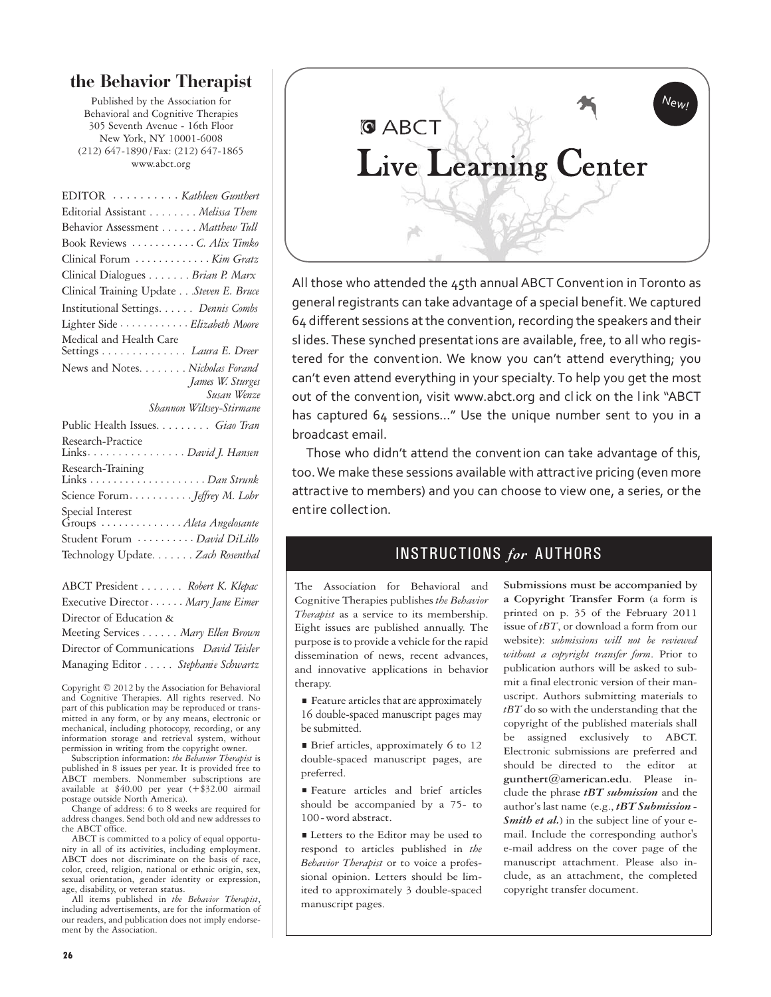## **the Behavior Therapist**

Published by the Association for Behavioral and Cognitive Therapies 305 Seventh Avenue - 16th Floor New York, NY 10001-6008 (212) 647-1890/Fax: (212) 647-1865 www.abct.org

| EDITOR <i>Kathleen Gunthert</i>                           |
|-----------------------------------------------------------|
| Editorial Assistant Melissa Them                          |
| Behavior Assessment Matthew Tull                          |
| Book Reviews C. Alix Timko                                |
| Clinical Forum  Kim Gratz                                 |
| Clinical Dialogues Brian P. Marx                          |
| Clinical Training Update Steven E. Bruce                  |
| Institutional Settings. Dennis Combs                      |
| Lighter Side <i>Elizabeth Moore</i>                       |
| Medical and Health Care<br>Settings <i>Laura E. Dreer</i> |
| News and Notes. Nicholas Forand                           |
| James W. Sturges                                          |
| Susan Wenze                                               |
| Shannon Wiltsey-Stirmane                                  |
| Public Health Issues. Giao Tran                           |
| Research-Practice<br>Links. David J. Hansen               |
| Research-Training                                         |
| Science Forum <i>Jeffrey M. Lohr</i>                      |
| Special Interest<br>Groups  Aleta Angelosante             |
| Student Forum  David DiLillo                              |
| Technology Update. Zach Rosenthal                         |

ABCT President . . . . . . . *Robert K. Klepac* Executive Director· · · · · · *Mary Jane Eimer* Director of Education & Meeting Services . . . . . . *Mary Ellen Brown* Director of Communications *David Teisler* Managing Editor . . . . . *Stephanie Schwartz*

Copyright © 2012 by the Association for Behavioral and Cognitive Therapies. All rights reserved. No part of this publication may be reproduced or transmitted in any form, or by any means, electronic or mechanical, including photocopy, recording, or any information storage and retrieval system, without permission in writing from the copyright owner.

Subscription information: *the Behavior Therapist* is published in 8 issues per year. It is provided free to ABCT members. Nonmember subscriptions are available at \$40.00 per year (+\$32.00 airmail postage outside North America).

Change of address: 6 to 8 weeks are required for address changes. Send both old and new addresses to the ABCT office.

ABCT is committed to a policy of equal opportunity in all of its activities, including employment. ABCT does not discriminate on the basis of race, color, creed, religion, national or ethnic origin, sex, sexual orientation, gender identity or expression, age, disability, or veteran status.

All items published in *the Behavior Therapist*, including advertisements, are for the information of our readers, and publication does not imply endorsement by the Association.



All those who attended the 45th annual ABCT Convention in Toronto as general registrants can take advantage of a special benefit. We captured 64 different sessions at the convention, recording the speakers and their sl ides. These synched presentations are available, free, to all who registered for the convention. We know you can't attend everything; you can't even attend everything in your specialty. To help you get the most out of the convention, visit www.abct.org and click on the link "ABCT has captured 64 sessions..." Use the unique number sent to you in a broadcast email.

Those who didn't attend the convention can take advantage of this, too. We make these sessions available with attractive pricing (even more attractive to members) and you can choose to view one, a series, or the entire collection.

## INSTRUCTIONS *for* AUTHORS

The Association for Behavioral and Cognitive Therapies publishes *the Behavior Therapist* as a service to its membership. Eight issues are published annually. The purpose is to provide a vehicle for the rapid dissemination of news, recent advances, and innovative applications in behavior therapy.

Feature articles that are approximately 16 double-spaced manuscript pages may be submitted.

Brief articles, approximately 6 to 12 double-spaced manuscript pages, are preferred.

Feature articles and brief articles should be accompanied by a 75- to 100-word abstract.

■ Letters to the Editor may be used to respond to articles published in *the Behavior Therapist* or to voice a professional opinion. Letters should be limited to approximately 3 double-spaced manuscript pages.

**Submissions must be accompanied by a Copyright Transfer Form** (a form is printed on p. 35 of the February 2011 issue of *tBT*, or download a form from our website): *submissions will not be reviewed without a copyright transfer form*. Prior to publication authors will be asked to submit a final electronic version of their manuscript. Authors submitting materials to *tBT* do so with the understanding that the copyright of the published materials shall be assigned exclusively to ABCT. Electronic submissions are preferred and should be directed to the editor at **gunthert@american.edu**. Please include the phrase *tBT submission* and the author's last name (e.g., *tBT Submission - Smith et al.*) in the subject line of your email. Include the corresponding author's e-mail address on the cover page of the manuscript attachment. Please also include, as an attachment, the completed copyright transfer document.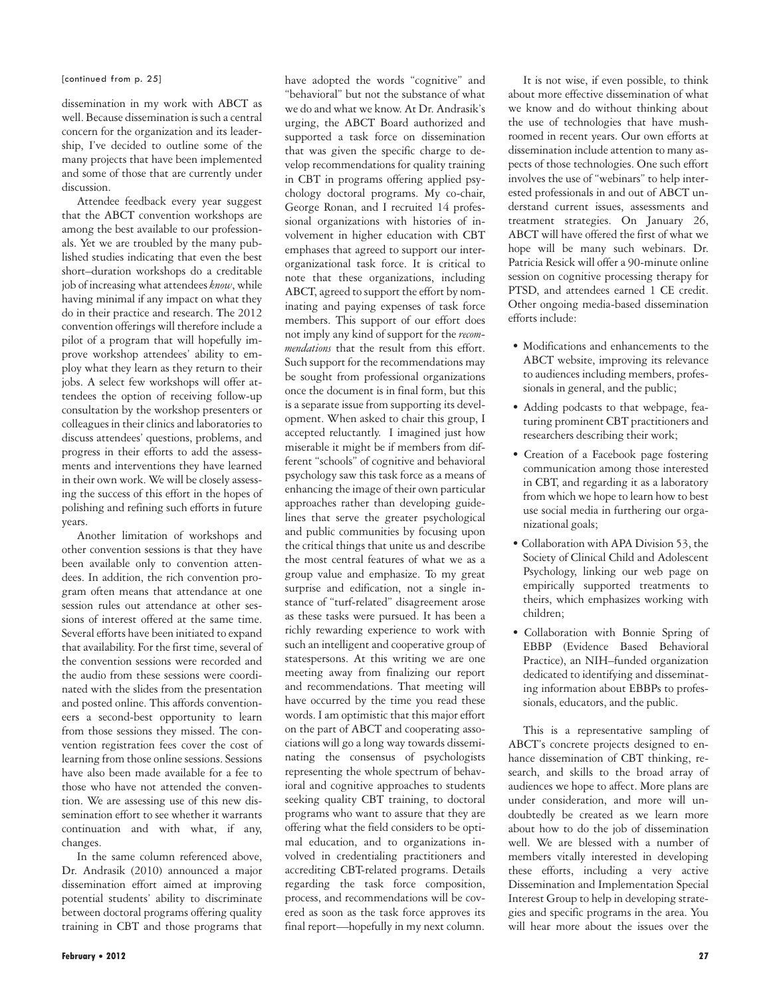[continued from p. 25]

dissemination in my work with ABCT as well. Because dissemination is such a central concern for the organization and its leadership, I've decided to outline some of the many projects that have been implemented and some of those that are currently under discussion.

Attendee feedback every year suggest that the ABCT convention workshops are among the best available to our professionals. Yet we are troubled by the many published studies indicating that even the best short–duration workshops do a creditable job of increasing what attendees *know*, while having minimal if any impact on what they do in their practice and research. The 2012 convention offerings will therefore include a pilot of a program that will hopefully improve workshop attendees' ability to employ what they learn as they return to their jobs. A select few workshops will offer attendees the option of receiving follow-up consultation by the workshop presenters or colleagues in their clinics and laboratories to discuss attendees' questions, problems, and progress in their efforts to add the assessments and interventions they have learned in their own work. We will be closely assessing the success of this effort in the hopes of polishing and refining such efforts in future years.

Another limitation of workshops and other convention sessions is that they have been available only to convention attendees. In addition, the rich convention program often means that attendance at one session rules out attendance at other sessions of interest offered at the same time. Several efforts have been initiated to expand that availability. For the first time, several of the convention sessions were recorded and the audio from these sessions were coordinated with the slides from the presentation and posted online. This affords conventioneers a second-best opportunity to learn from those sessions they missed. The convention registration fees cover the cost of learning from those online sessions. Sessions have also been made available for a fee to those who have not attended the convention. We are assessing use of this new dissemination effort to see whether it warrants continuation and with what, if any, changes.

In the same column referenced above, Dr. Andrasik (2010) announced a major dissemination effort aimed at improving potential students' ability to discriminate between doctoral programs offering quality training in CBT and those programs that

"behavioral" but not the substance of what we do and what we know. At Dr. Andrasik's urging, the ABCT Board authorized and supported a task force on dissemination that was given the specific charge to develop recommendations for quality training in CBT in programs offering applied psychology doctoral programs. My co-chair, George Ronan, and I recruited 14 professional organizations with histories of involvement in higher education with CBT emphases that agreed to support our interorganizational task force. It is critical to note that these organizations, including ABCT, agreed to support the effort by nominating and paying expenses of task force members. This support of our effort does not imply any kind of support for the *recommendations* that the result from this effort. Such support for the recommendations may be sought from professional organizations once the document is in final form, but this is a separate issue from supporting its development. When asked to chair this group, I accepted reluctantly. I imagined just how miserable it might be if members from different "schools" of cognitive and behavioral psychology saw this task force as a means of enhancing the image of their own particular approaches rather than developing guidelines that serve the greater psychological and public communities by focusing upon the critical things that unite us and describe the most central features of what we as a group value and emphasize. To my great surprise and edification, not a single instance of "turf-related" disagreement arose as these tasks were pursued. It has been a richly rewarding experience to work with such an intelligent and cooperative group of statespersons. At this writing we are one meeting away from finalizing our report and recommendations. That meeting will have occurred by the time you read these words. I am optimistic that this major effort on the part of ABCT and cooperating associations will go a long way towards disseminating the consensus of psychologists representing the whole spectrum of behavioral and cognitive approaches to students seeking quality CBT training, to doctoral programs who want to assure that they are offering what the field considers to be optimal education, and to organizations involved in credentialing practitioners and accrediting CBT-related programs. Details regarding the task force composition, process, and recommendations will be covered as soon as the task force approves its final report—hopefully in my next column.

have adopted the words "cognitive" and

**February • 2012 27**

It is not wise, if even possible, to think about more effective dissemination of what we know and do without thinking about the use of technologies that have mushroomed in recent years. Our own efforts at dissemination include attention to many aspects of those technologies. One such effort involves the use of "webinars" to help interested professionals in and out of ABCT understand current issues, assessments and treatment strategies. On January 26, ABCT will have offered the first of what we hope will be many such webinars. Dr. Patricia Resick will offer a 90-minute online session on cognitive processing therapy for PTSD, and attendees earned 1 CE credit. Other ongoing media-based dissemination efforts include:

- Modifications and enhancements to the ABCT website, improving its relevance to audiences including members, professionals in general, and the public;
- Adding podcasts to that webpage, featuring prominent CBT practitioners and researchers describing their work;
- Creation of a Facebook page fostering communication among those interested in CBT, and regarding it as a laboratory from which we hope to learn how to best use social media in furthering our organizational goals;
- Collaboration with APA Division 53, the Society of Clinical Child and Adolescent Psychology, linking our web page on empirically supported treatments to theirs, which emphasizes working with children;
- Collaboration with Bonnie Spring of EBBP (Evidence Based Behavioral Practice), an NIH–funded organization dedicated to identifying and disseminating information about EBBPs to professionals, educators, and the public.

This is a representative sampling of ABCT's concrete projects designed to enhance dissemination of CBT thinking, research, and skills to the broad array of audiences we hope to affect. More plans are under consideration, and more will undoubtedly be created as we learn more about how to do the job of dissemination well. We are blessed with a number of members vitally interested in developing these efforts, including a very active Dissemination and Implementation Special Interest Group to help in developing strategies and specific programs in the area. You will hear more about the issues over the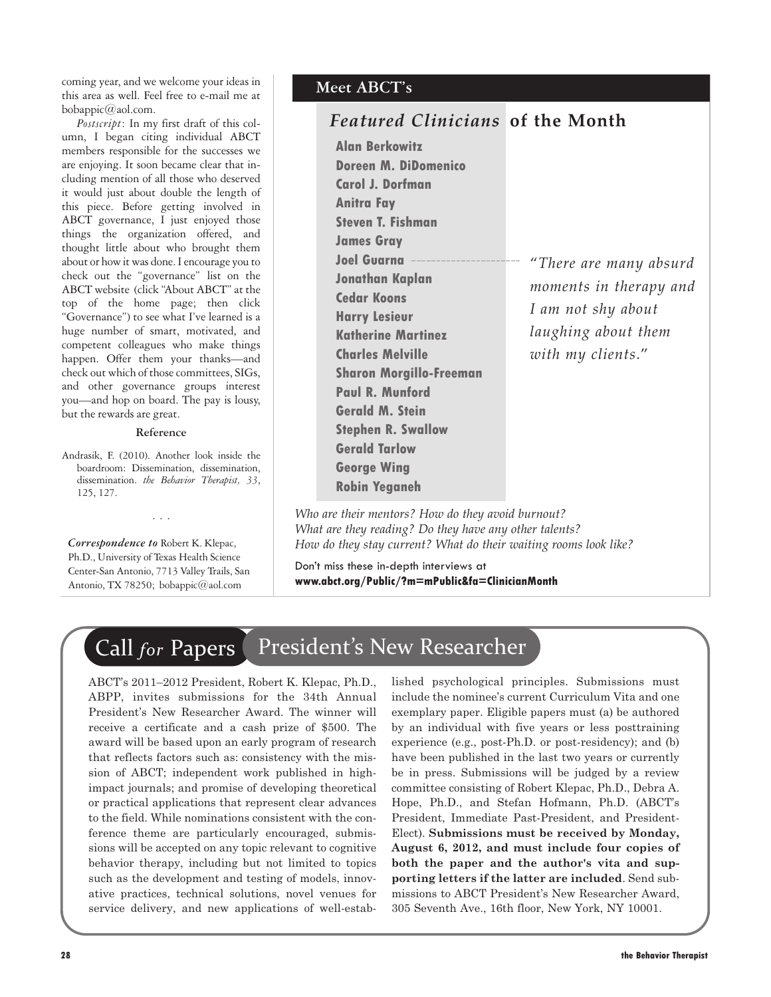coming year, and we welcome your ideas in this area as well. Feel free to e-mail me at bobappic@aol.com.

*Postscript*: In my first draft of this column, I began citing individual ABCT members responsible for the successes we are enjoying. It soon became clear that including mention of all those who deserved it would just about double the length of this piece. Before getting involved in ABCT governance, I just enjoyed those things the organization offered, and thought little about who brought them about or how it was done. I encourage you to check out the "governance" list on the ABCT website (click "About ABCT" at the top of the home page; then click "Governance") to see what I've learned is a huge number of smart, motivated, and competent colleagues who make things happen. Offer them your thanks—and check out which of those committees, SIGs, and other governance groups interest you—and hop on board. The pay is lousy, but the rewards are great.

#### **Reference**

Andrasik, F. (2010). Another look inside the boardroom: Dissemination, dissemination, dissemination. *the Behavior Therapist, 33*, 125, 127.

...

*Correspondence to* Robert K. Klepac, Ph.D., University of Texas Health Science Center-San Antonio, 7713 Valley Trails, San Antonio, TX 78250; bobappic@aol.com

## **Meet ABCT's**

## *Featured Clinicians* **of the Month**

**Alan Berkowitz Doreen M. DiDomenico Carol J. Dorfman Anitra Fay Steven T. Fishman James Gray Joel Guarna Jonathan Kaplan Cedar Koons Harry Lesieur Katherine Martinez Charles Melville Sharon Morgillo-Freeman Paul R. Munford Gerald M. Stein Stephen R. Swallow Gerald Tarlow George Wing Robin Yeganeh**

"*There are many absurd moments in therapy and I am not shy about laughing about them with my clients*."

*Who are their mentors? How do they avoid burnout? What are they reading? Do they have any other talents? How do they stay current? What do their waiting rooms look like?*

Don't miss these in-depth interviews at **www.abct.org/Public/?m=mPublic&fa=ClinicianMonth** 

# Call *for* Papers President's New Researcher

ABCT's 2011–2012 President, Robert K. Klepac, Ph.D., ABPP, invites submissions for the 34th Annual President's New Researcher Award. The winner will receive a certificate and a cash prize of \$500. The award will be based upon an early program of research that reflects factors such as: consistency with the mission of ABCT; independent work published in highimpact journals; and promise of developing theoretical or practical applications that represent clear advances to the field. While nominations consistent with the conference theme are particularly encouraged, submissions will be accepted on any topic relevant to cognitive behavior therapy, including but not limited to topics such as the development and testing of models, innovative practices, technical solutions, novel venues for service delivery, and new applications of well-estab-

lished psychological principles. Submissions must include the nominee's current Curriculum Vita and one exemplary paper. Eligible papers must (a) be authored by an individual with five years or less posttraining experience (e.g., post-Ph.D. or post-residency); and (b) have been published in the last two years or currently be in press. Submissions will be judged by a review committee consisting of Robert Klepac, Ph.D., Debra A. Hope, Ph.D., and Stefan Hofmann, Ph.D. (ABCT's President, Immediate Past-President, and President-Elect). **Submissions must be received by Monday, August 6, 2012, and must include four copies of both the paper and the author's vita and supporting letters if the latter are included**. Send submissions to ABCT President's New Researcher Award, 305 Seventh Ave., 16th floor, New York, NY 10001.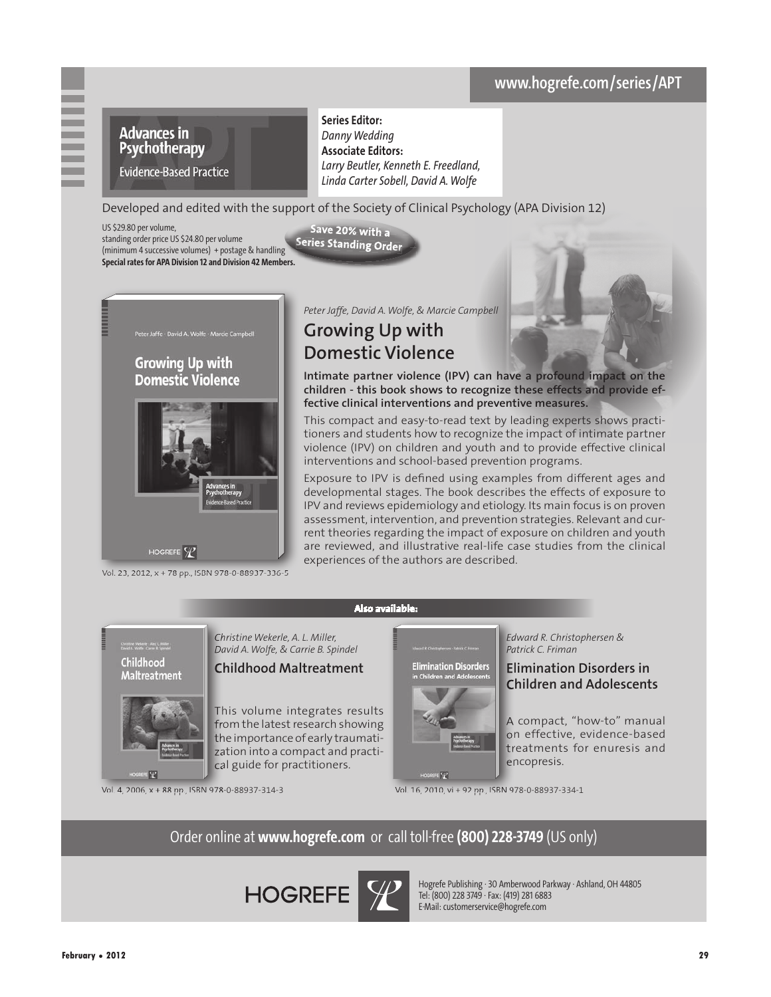# **www.hogrefe.com/series/**



**Series Editor:**  *Danny Wedding* **Associate Editors:** *Larry Beutler, Kenneth E. Freedland, Linda Carter Sobell, David A. Wolfe*

Developed and edited with the support of the Society of Clinical Psychology (APA Division 12) Save 20% with a

Series Standing Order

US \$29.80 per volume, standing order price US \$24.80 per volume (minimum 4 successive volumes) + postage & handling **Special rates for APA Division 12 and Division 42 Members.**



Vol. 23, 2012, x + 78 pp., ISBN 978-0-88937-336-5

*Peter Jaffe, David A. Wolfe, & Marcie Campbell* 

## **Growing Up with Domestic Violence**

**Intimate partner violence (IPV) can have a profound impact on the children - this book shows to recognize these effects and provide effective clinical interventions and preventive measures.**

This compact and easy-to-read text by leading experts shows practitioners and students how to recognize the impact of intimate partner violence (IPV) on children and youth and to provide effective clinical interventions and school-based prevention programs.

Exposure to IPV is defined using examples from different ages and developmental stages. The book describes the effects of exposure to IPV and reviews epidemiology and etiology. Its main focus is on proven assessment, intervention, and prevention strategies. Relevant and current theories regarding the impact of exposure on children and youth are reviewed, and illustrative real-life case studies from the clinical experiences of the authors are described.

Childhood **Maltreatment** 



*Christine Wekerle, A. L. Miller, David A. Wolfe, & Carrie B. Spindel* 

## **Childhood Maltreatment**

This volume integrates results from the latest research showing the importance of early traumatization into a compact and practical guide for practitioners.

**Elimination Disorders**<br>in Children and Adolescents

 $E$ 

*Edward R. Christophersen & Patrick C. Friman*

## **Elimination Disorders in Children and Adolescents**

A compact, "how-to" manual on effective, evidence-based treatments for enuresis and encopresis.

Vol. 4, 2006, x + 88 pp., ISBN 978-0-88937-314-3 Vol. 16, 2010, vi + 92 pp., ISBN 978-0-88937-334-1

Order online at **www.hogrefe.com** or call toll-free **(800) 228-3749** (US only)

**Also available:**

**HOGREFE** 



Hogrefe Publishing · 30 Amberwood Parkway · Ashland, OH 44805 Tel: (800) 228 3749 · Fax: (419) 281 6883 E-Mail: customerservice@hogrefe.com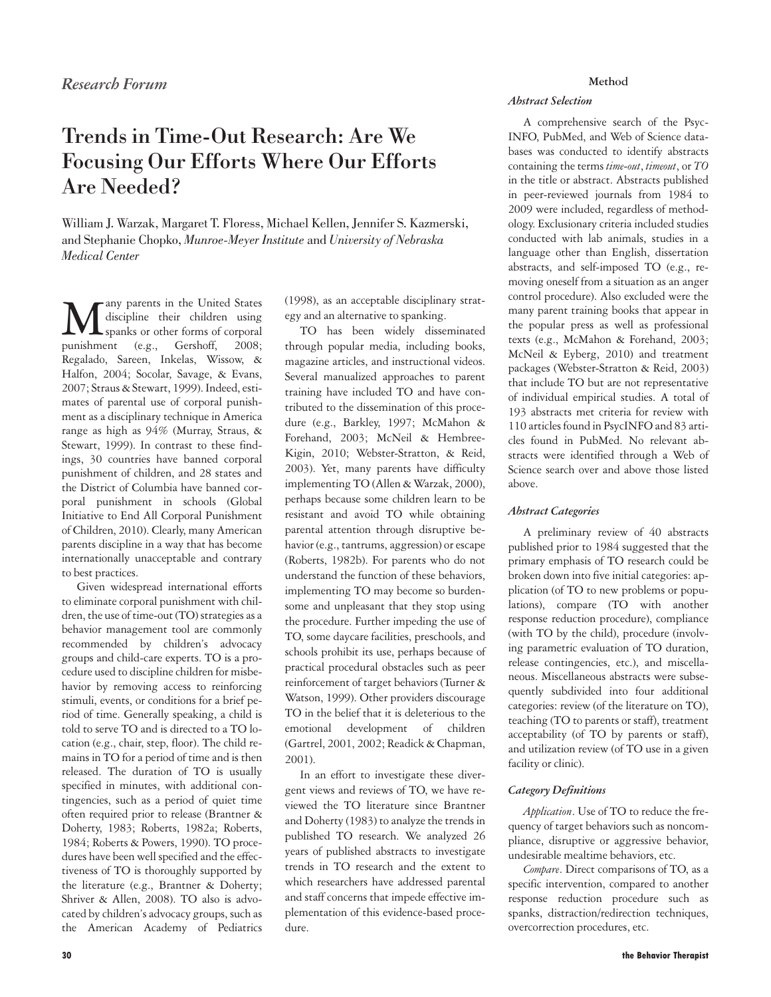## Trends in Time-Out Research: Are We Focusing Our Efforts Where Our Efforts Are Needed?

William J. Warzak, Margaret T. Floress, Michael Kellen, Jennifer S. Kazmerski, and Stephanie Chopko, *Munroe-Meyer Institute* and *University of Nebraska Medical Center*

**Many parents in the United States**<br>spanks or other forms of corporal<br>punishment (e.g. Gershoff 2008) discipline their children using punishment (e.g., Gershoff, 2008; Regalado, Sareen, Inkelas, Wissow, & Halfon, 2004; Socolar, Savage, & Evans, 2007; Straus & Stewart, 1999). Indeed, estimates of parental use of corporal punishment as a disciplinary technique in America range as high as 94% (Murray, Straus, & Stewart, 1999). In contrast to these findings, 30 countries have banned corporal punishment of children, and 28 states and the District of Columbia have banned corporal punishment in schools (Global Initiative to End All Corporal Punishment of Children, 2010). Clearly, many American parents discipline in a way that has become internationally unacceptable and contrary to best practices.

Given widespread international efforts to eliminate corporal punishment with children, the use of time-out (TO) strategies as a behavior management tool are commonly recommended by children's advocacy groups and child-care experts. TO is a procedure used to discipline children for misbehavior by removing access to reinforcing stimuli, events, or conditions for a brief period of time. Generally speaking, a child is told to serve TO and is directed to a TO location (e.g., chair, step, floor). The child remains in TO for a period of time and is then released. The duration of TO is usually specified in minutes, with additional contingencies, such as a period of quiet time often required prior to release (Brantner & Doherty, 1983; Roberts, 1982a; Roberts, 1984; Roberts & Powers, 1990). TO procedures have been well specified and the effectiveness of TO is thoroughly supported by the literature (e.g., Brantner & Doherty; Shriver & Allen, 2008). TO also is advocated by children's advocacy groups, such as the American Academy of Pediatrics

(1998), as an acceptable disciplinary strategy and an alternative to spanking.

TO has been widely disseminated through popular media, including books, magazine articles, and instructional videos. Several manualized approaches to parent training have included TO and have contributed to the dissemination of this procedure (e.g., Barkley, 1997; McMahon & Forehand, 2003; McNeil & Hembree-Kigin, 2010; Webster-Stratton, & Reid, 2003). Yet, many parents have difficulty implementing TO (Allen & Warzak, 2000), perhaps because some children learn to be resistant and avoid TO while obtaining parental attention through disruptive behavior (e.g., tantrums, aggression) or escape (Roberts, 1982b). For parents who do not understand the function of these behaviors, implementing TO may become so burdensome and unpleasant that they stop using the procedure. Further impeding the use of TO, some daycare facilities, preschools, and schools prohibit its use, perhaps because of practical procedural obstacles such as peer reinforcement of target behaviors (Turner & Watson, 1999). Other providers discourage TO in the belief that it is deleterious to the emotional development of children (Gartrel, 2001, 2002; Readick & Chapman, 2001).

In an effort to investigate these divergent views and reviews of TO, we have reviewed the TO literature since Brantner and Doherty (1983) to analyze the trends in published TO research. We analyzed 26 years of published abstracts to investigate trends in TO research and the extent to which researchers have addressed parental and staff concerns that impede effective implementation of this evidence-based procedure.

#### **Method**

## *Abstract Selection*

A comprehensive search of the Psyc-INFO, PubMed, and Web of Science databases was conducted to identify abstracts containing the terms *time-out*, *timeout*, or *TO* in the title or abstract. Abstracts published in peer-reviewed journals from 1984 to 2009 were included, regardless of methodology. Exclusionary criteria included studies conducted with lab animals, studies in a language other than English, dissertation abstracts, and self-imposed TO (e.g., removing oneself from a situation as an anger control procedure). Also excluded were the many parent training books that appear in the popular press as well as professional texts (e.g., McMahon & Forehand, 2003; McNeil & Eyberg, 2010) and treatment packages (Webster-Stratton & Reid, 2003) that include TO but are not representative of individual empirical studies. A total of 193 abstracts met criteria for review with 110 articles found in PsycINFO and 83 articles found in PubMed. No relevant abstracts were identified through a Web of Science search over and above those listed above.

## *Abstract Categories*

A preliminary review of 40 abstracts published prior to 1984 suggested that the primary emphasis of TO research could be broken down into five initial categories: application (of TO to new problems or populations), compare (TO with another response reduction procedure), compliance (with TO by the child), procedure (involving parametric evaluation of TO duration, release contingencies, etc.), and miscellaneous. Miscellaneous abstracts were subsequently subdivided into four additional categories: review (of the literature on TO), teaching (TO to parents or staff), treatment acceptability (of TO by parents or staff), and utilization review (of TO use in a given facility or clinic).

## *Category Definitions*

*Application*. Use of TO to reduce the frequency of target behaviors such as noncompliance, disruptive or aggressive behavior, undesirable mealtime behaviors, etc.

*Compare*. Direct comparisons of TO, as a specific intervention, compared to another response reduction procedure such as spanks, distraction/redirection techniques, overcorrection procedures, etc.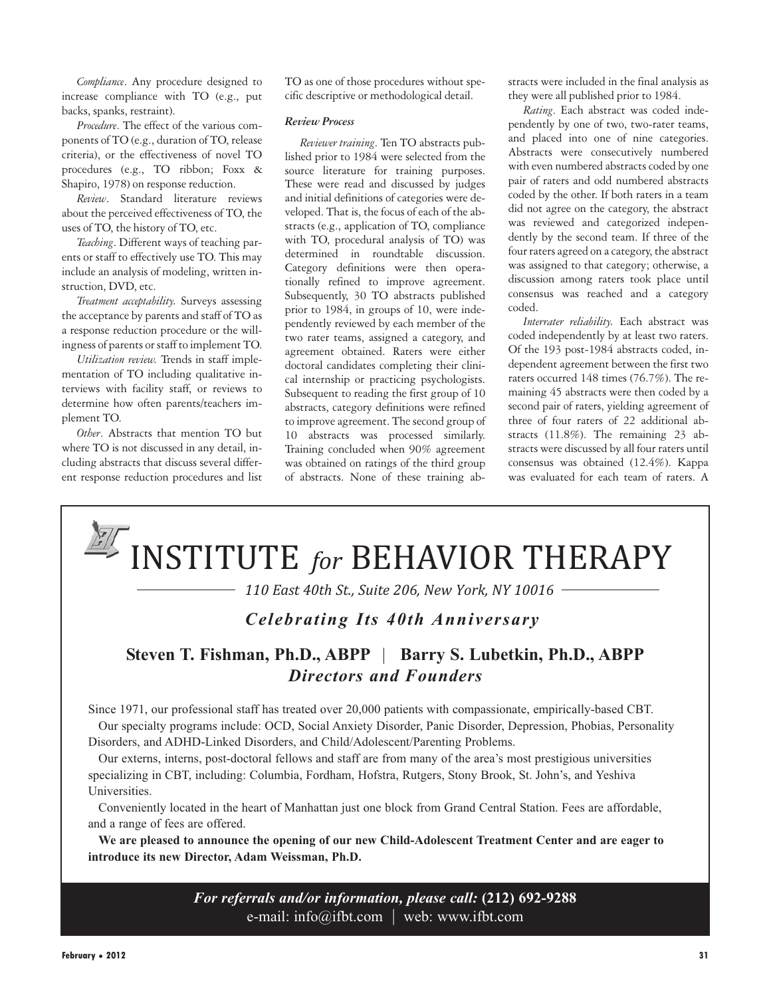*Compliance*. Any procedure designed to increase compliance with TO (e.g., put backs, spanks, restraint).

*Procedure*. The effect of the various components of TO (e.g., duration of TO, release criteria), or the effectiveness of novel TO procedures (e.g., TO ribbon; Foxx & Shapiro, 1978) on response reduction.

*Review*. Standard literature reviews about the perceived effectiveness of TO, the uses of TO, the history of TO, etc.

*Teaching*. Different ways of teaching parents or staff to effectively use TO. This may include an analysis of modeling, written instruction, DVD, etc.

*Treatment acceptability.* Surveys assessing the acceptance by parents and staff of TO as a response reduction procedure or the willingness of parents or staff to implement TO.

*Utilization review.* Trends in staff implementation of TO including qualitative interviews with facility staff, or reviews to determine how often parents/teachers implement TO.

*Other*. Abstracts that mention TO but where TO is not discussed in any detail, including abstracts that discuss several different response reduction procedures and list TO as one of those procedures without specific descriptive or methodological detail.

#### *Review Process*

*Reviewer training*. Ten TO abstracts published prior to 1984 were selected from the source literature for training purposes. These were read and discussed by judges and initial definitions of categories were developed. That is, the focus of each of the abstracts (e.g., application of TO, compliance with TO, procedural analysis of TO) was determined in roundtable discussion. Category definitions were then operationally refined to improve agreement. Subsequently, 30 TO abstracts published prior to 1984, in groups of 10, were independently reviewed by each member of the two rater teams, assigned a category, and agreement obtained. Raters were either doctoral candidates completing their clinical internship or practicing psychologists. Subsequent to reading the first group of 10 abstracts, category definitions were refined to improve agreement. The second group of 10 abstracts was processed similarly. Training concluded when 90% agreement was obtained on ratings of the third group of abstracts. None of these training abstracts were included in the final analysis as they were all published prior to 1984.

*Rating*. Each abstract was coded independently by one of two, two-rater teams, and placed into one of nine categories. Abstracts were consecutively numbered with even numbered abstracts coded by one pair of raters and odd numbered abstracts coded by the other. If both raters in a team did not agree on the category, the abstract was reviewed and categorized independently by the second team. If three of the four raters agreed on a category, the abstract was assigned to that category; otherwise, a discussion among raters took place until consensus was reached and a category coded.

*Interrater reliability.* Each abstract was coded independently by at least two raters. Of the 193 post-1984 abstracts coded, independent agreement between the first two raters occurred 148 times (76.7%). The remaining 45 abstracts were then coded by a second pair of raters, yielding agreement of three of four raters of 22 additional abstracts (11.8%). The remaining 23 abstracts were discussed by all four raters until consensus was obtained (12.4%). Kappa was evaluated for each team of raters. A

# INSTITUTE *for* BEHAVIOR THERAPY

*110 East 40th St., Suite 206, New York, NY 10016*

## *Celebrating Its 40th Anniversary*

## **Steven T. Fishman, Ph.D., ABPP** | **Barry S. Lubetkin, Ph.D., ABPP** *Directors and Founders*

Since 1971, our professional staff has treated over 20,000 patients with compassionate, empirically-based CBT. Our specialty programs include: OCD, Social Anxiety Disorder, Panic Disorder, Depression, Phobias, Personality Disorders, and ADHD-Linked Disorders, and Child/Adolescent/Parenting Problems.

Our externs, interns, post-doctoral fellows and staff are from many of the area's most prestigious universities specializing in CBT, including: Columbia, Fordham, Hofstra, Rutgers, Stony Brook, St. John's, and Yeshiva Universities.

Conveniently located in the heart of Manhattan just one block from Grand Central Station. Fees are affordable, and a range of fees are offered.

**We are pleased to announce the opening of our new Child-Adolescent Treatment Center and are eager to introduce its new Director, Adam Weissman, Ph.D.**

> *For referrals and/or information, please call:* **(212) 692-9288** e-mail: info@ifbt.com | web: www.ifbt.com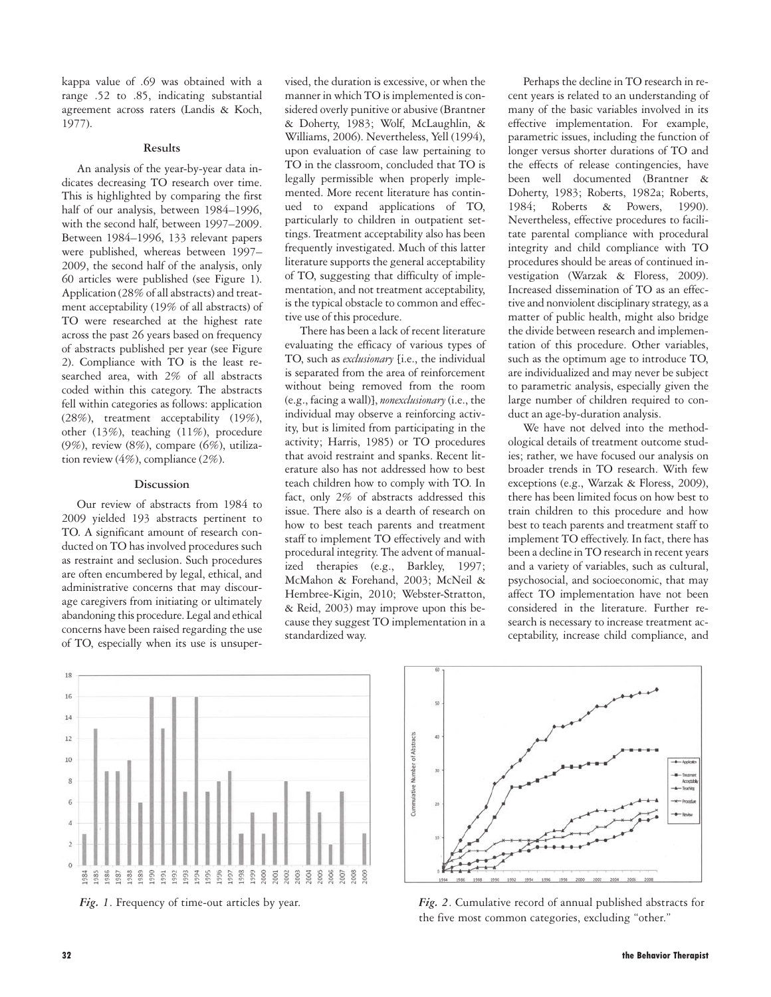kappa value of .69 was obtained with a range .52 to .85, indicating substantial agreement across raters (Landis & Koch, 1977).

#### **Results**

An analysis of the year-by-year data indicates decreasing TO research over time. This is highlighted by comparing the first half of our analysis, between 1984–1996, with the second half, between 1997–2009. Between 1984–1996, 133 relevant papers were published, whereas between 1997– 2009, the second half of the analysis, only 60 articles were published (see Figure 1). Application (28% of all abstracts) and treatment acceptability (19% of all abstracts) of TO were researched at the highest rate across the past 26 years based on frequency of abstracts published per year (see Figure 2). Compliance with TO is the least researched area, with 2% of all abstracts coded within this category. The abstracts fell within categories as follows: application (28%), treatment acceptability (19%), other (13%), teaching (11%), procedure (9%), review (8%), compare (6%), utilization review (4%), compliance (2%).

#### **Discussion**

Our review of abstracts from 1984 to 2009 yielded 193 abstracts pertinent to TO. A significant amount of research conducted on TO has involved procedures such as restraint and seclusion. Such procedures are often encumbered by legal, ethical, and administrative concerns that may discourage caregivers from initiating or ultimately abandoning this procedure. Legal and ethical concerns have been raised regarding the use of TO, especially when its use is unsupervised, the duration is excessive, or when the manner in which TO is implemented is considered overly punitive or abusive (Brantner & Doherty, 1983; Wolf, McLaughlin, & Williams, 2006). Nevertheless, Yell (1994), upon evaluation of case law pertaining to TO in the classroom, concluded that TO is legally permissible when properly implemented. More recent literature has continued to expand applications of TO, particularly to children in outpatient settings. Treatment acceptability also has been frequently investigated. Much of this latter literature supports the general acceptability of TO, suggesting that difficulty of implementation, and not treatment acceptability, is the typical obstacle to common and effective use of this procedure.

There has been a lack of recent literature evaluating the efficacy of various types of TO, such as *exclusionary* [i.e., the individual is separated from the area of reinforcement without being removed from the room (e.g., facing a wall)], *nonexclusionary*(i.e., the individual may observe a reinforcing activity, but is limited from participating in the activity; Harris, 1985) or TO procedures that avoid restraint and spanks. Recent literature also has not addressed how to best teach children how to comply with TO. In fact, only 2% of abstracts addressed this issue. There also is a dearth of research on how to best teach parents and treatment staff to implement TO effectively and with procedural integrity. The advent of manualized therapies (e.g., Barkley, 1997; McMahon & Forehand, 2003; McNeil & Hembree-Kigin, 2010; Webster-Stratton, & Reid, 2003) may improve upon this because they suggest TO implementation in a standardized way.

Perhaps the decline in TO research in recent years is related to an understanding of many of the basic variables involved in its effective implementation. For example, parametric issues, including the function of longer versus shorter durations of TO and the effects of release contingencies, have been well documented (Brantner & Doherty, 1983; Roberts, 1982a; Roberts, 1984; Roberts & Powers, 1990). Nevertheless, effective procedures to facilitate parental compliance with procedural integrity and child compliance with TO procedures should be areas of continued investigation (Warzak & Floress, 2009). Increased dissemination of TO as an effective and nonviolent disciplinary strategy, as a matter of public health, might also bridge the divide between research and implementation of this procedure. Other variables, such as the optimum age to introduce TO, are individualized and may never be subject to parametric analysis, especially given the large number of children required to conduct an age-by-duration analysis.

We have not delved into the methodological details of treatment outcome studies; rather, we have focused our analysis on broader trends in TO research. With few exceptions (e.g., Warzak & Floress, 2009), there has been limited focus on how best to train children to this procedure and how best to teach parents and treatment staff to implement TO effectively. In fact, there has been a decline in TO research in recent years and a variety of variables, such as cultural, psychosocial, and socioeconomic, that may affect TO implementation have not been considered in the literature. Further research is necessary to increase treatment acceptability, increase child compliance, and





*Fig. 1*. Frequency of time-out articles by year. *Fig. 2*. Cumulative record of annual published abstracts for the five most common categories, excluding "other."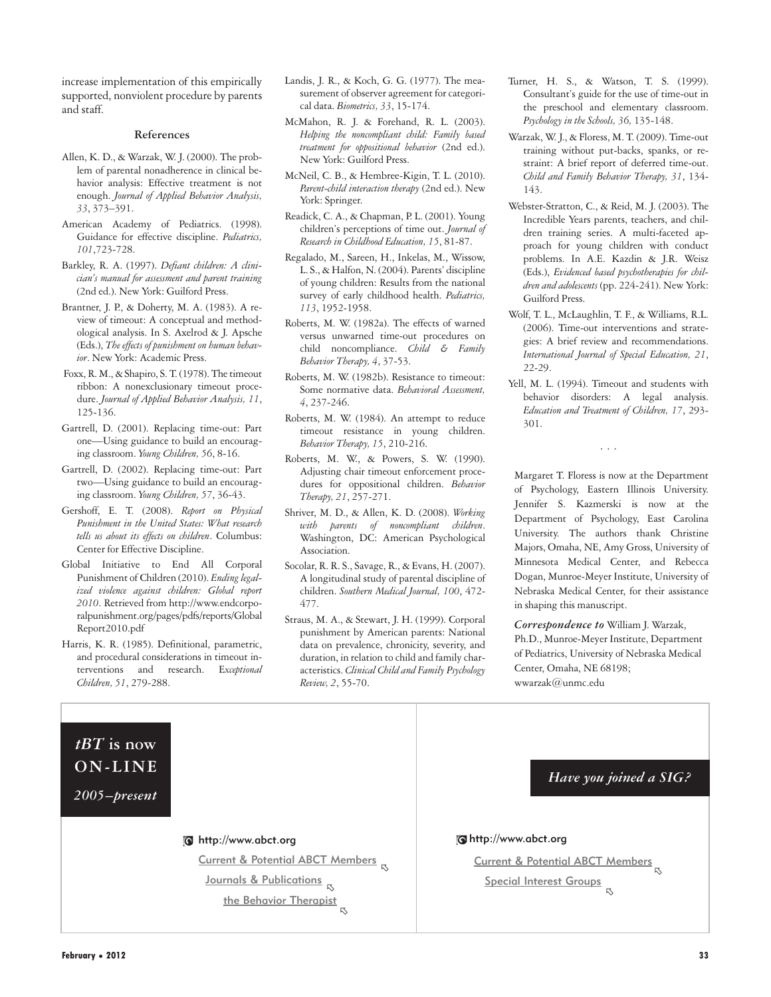increase implementation of this empirically supported, nonviolent procedure by parents and staff.

#### **References**

- Allen, K. D., & Warzak, W. J. (2000). The problem of parental nonadherence in clinical behavior analysis: Effective treatment is not enough. *Journal of Applied Behavior Analysis, 33*, 373–391.
- American Academy of Pediatrics. (1998). Guidance for effective discipline. *Pediatrics, 101*,723-728.
- Barkley, R. A. (1997). *Defiant children: A clinician's manual for assessment and parent training* (2nd ed.). New York: Guilford Press.
- Brantner, J. P., & Doherty, M. A. (1983). A review of timeout: A conceptual and methodological analysis. In S. Axelrod & J. Apsche (Eds.), *The effects of punishment on human behavior*. New York: Academic Press.
- Foxx, R. M., & Shapiro, S. T. (1978). The timeout ribbon: A nonexclusionary timeout procedure. *Journal of Applied Behavior Analysis, 11*, 125-136.
- Gartrell, D. (2001). Replacing time-out: Part one—Using guidance to build an encouraging classroom. *Young Children, 56*, 8-16.
- Gartrell, D. (2002). Replacing time-out: Part two—Using guidance to build an encouraging classroom. *Young Children, 57*, 36-43.
- Gershoff, E. T. (2008). *Report on Physical Punishment in the United States: What research tells us about its effects on children*. Columbus: Center for Effective Discipline.
- Global Initiative to End All Corporal Punishment of Children (2010). *Ending legalized violence against children: Global report 2010*. Retrieved from http://www.endcorporalpunishment.org/pages/pdfs/reports/Global Report2010.pdf
- Harris, K. R. (1985). Definitional, parametric, and procedural considerations in timeout interventions and research. E*xceptional Children, 51*, 279-288.
- Landis, J. R., & Koch, G. G. (1977). The measurement of observer agreement for categorical data. *Biometrics, 33*, 15-174.
- McMahon, R. J. & Forehand, R. L. (2003). *Helping the noncompliant child: Family based treatment for oppositional behavior* (2nd ed.). New York: Guilford Press.
- McNeil, C. B., & Hembree-Kigin, T. L. (2010). *Parent-child interaction therapy* (2nd ed.). New York: Springer.
- Readick, C. A., & Chapman, P. L. (2001). Young children's perceptions of time out. *Journal of Research in Childhood Education, 15*, 81-87.
- Regalado, M., Sareen, H., Inkelas, M., Wissow, L. S., & Halfon, N. (2004). Parents' discipline of young children: Results from the national survey of early childhood health. *Pediatrics, 113*, 1952-1958.
- Roberts, M. W. (1982a). The effects of warned versus unwarned time-out procedures on child noncompliance. *Child & Family Behavior Therapy, 4*, 37-53.
- Roberts, M. W. (1982b). Resistance to timeout: Some normative data. *Behavioral Assessment, 4*, 237-246.
- Roberts, M. W. (1984). An attempt to reduce timeout resistance in young children. *Behavior Therapy, 15*, 210-216.
- Roberts, M. W., & Powers, S. W. (1990). Adjusting chair timeout enforcement procedures for oppositional children. *Behavior Therapy, 21*, 257-271.
- Shriver, M. D., & Allen, K. D. (2008). *Working with parents of noncompliant children*. Washington, DC: American Psychological Association.
- Socolar, R. R. S., Savage, R., & Evans, H. (2007). A longitudinal study of parental discipline of children. *Southern Medical Journal, 100*, 472- 477.
- Straus, M. A., & Stewart, J. H. (1999). Corporal punishment by American parents: National data on prevalence, chronicity, severity, and duration, in relation to child and family characteristics. *Clinical Child and Family Psychology Review, 2*, 55-70.
- Turner, H. S., & Watson, T. S. (1999). Consultant's guide for the use of time-out in the preschool and elementary classroom. *Psychology in the Schools, 36,* 135-148.
- Warzak, W. J., & Floress, M. T. (2009). Time-out training without put-backs, spanks, or restraint: A brief report of deferred time-out. *Child and Family Behavior Therapy, 31*, 134- 143.
- Webster-Stratton, C., & Reid, M. J. (2003). The Incredible Years parents, teachers, and children training series. A multi-faceted approach for young children with conduct problems. In A.E. Kazdin & J.R. Weisz (Eds.), *Evidenced based psychotherapies for children and adolescents* (pp. 224-241). New York: Guilford Press.
- Wolf, T. L., McLaughlin, T. F., & Williams, R.L. (2006). Time-out interventions and strategies: A brief review and recommendations. *International Journal of Special Education, 21*, 22-29.
- Yell, M. L. (1994). Timeout and students with behavior disorders: A legal analysis. *Education and Treatment of Children, 17*, 293- 301.

...

Margaret T. Floress is now at the Department of Psychology, Eastern Illinois University. Jennifer S. Kazmerski is now at the Department of Psychology, East Carolina University. The authors thank Christine Majors, Omaha, NE, Amy Gross, University of Minnesota Medical Center, and Rebecca Dogan, Munroe-Meyer Institute, University of Nebraska Medical Center, for their assistance in shaping this manuscript.

*Correspondence to* William J. Warzak, Ph.D., Munroe-Meyer Institute, Department of Pediatrics, University of Nebraska Medical Center, Omaha, NE 68198; wwarzak@unmc.edu

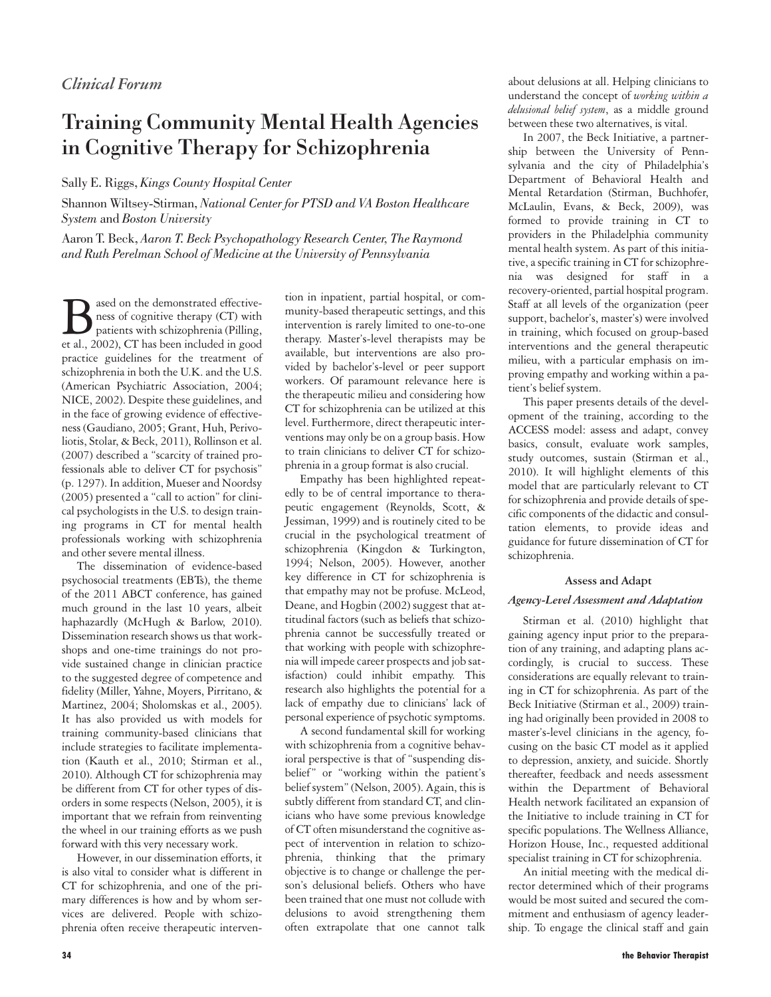## Training Community Mental Health Agencies in Cognitive Therapy for Schizophrenia

Sally E. Riggs, *Kings County Hospital Center*

Shannon Wiltsey-Stirman, *National Center for PTSD and VA Boston Healthcare System* and *Boston University*

Aaron T. Beck, *Aaron T. Beck Psychopathology Research Center, The Raymond and Ruth Perelman School of Medicine at the University of Pennsylvania*

**B** ased on the demonstrated effective-<br>ness of cognitive therapy (CT) with<br>patients with schizophrenia (Pilling,<br>et al., 2002). CT has been included in good ness of cognitive therapy (CT) with patients with schizophrenia (Pilling, et al., 2002), CT has been included in good practice guidelines for the treatment of schizophrenia in both the U.K. and the U.S. (American Psychiatric Association, 2004; NICE, 2002). Despite these guidelines, and in the face of growing evidence of effectiveness (Gaudiano, 2005; Grant, Huh, Perivoliotis, Stolar, & Beck, 2011), Rollinson et al. (2007) described a "scarcity of trained professionals able to deliver CT for psychosis" (p. 1297). In addition, Mueser and Noordsy (2005) presented a "call to action" for clinical psychologists in the U.S. to design training programs in CT for mental health professionals working with schizophrenia and other severe mental illness.

The dissemination of evidence-based psychosocial treatments (EBTs), the theme of the 2011 ABCT conference, has gained much ground in the last 10 years, albeit haphazardly (McHugh & Barlow, 2010). Dissemination research shows us that workshops and one-time trainings do not provide sustained change in clinician practice to the suggested degree of competence and fidelity (Miller, Yahne, Moyers, Pirritano, & Martinez, 2004; Sholomskas et al., 2005). It has also provided us with models for training community-based clinicians that include strategies to facilitate implementation (Kauth et al., 2010; Stirman et al., 2010). Although CT for schizophrenia may be different from CT for other types of disorders in some respects (Nelson, 2005), it is important that we refrain from reinventing the wheel in our training efforts as we push forward with this very necessary work.

However, in our dissemination efforts, it is also vital to consider what is different in CT for schizophrenia, and one of the primary differences is how and by whom services are delivered. People with schizophrenia often receive therapeutic interven-

tion in inpatient, partial hospital, or community-based therapeutic settings, and this intervention is rarely limited to one-to-one therapy. Master's-level therapists may be available, but interventions are also provided by bachelor's-level or peer support workers. Of paramount relevance here is the therapeutic milieu and considering how CT for schizophrenia can be utilized at this level. Furthermore, direct therapeutic interventions may only be on a group basis. How to train clinicians to deliver CT for schizophrenia in a group format is also crucial.

Empathy has been highlighted repeatedly to be of central importance to therapeutic engagement (Reynolds, Scott, & Jessiman, 1999) and is routinely cited to be crucial in the psychological treatment of schizophrenia (Kingdon & Turkington, 1994; Nelson, 2005). However, another key difference in CT for schizophrenia is that empathy may not be profuse. McLeod, Deane, and Hogbin (2002) suggest that attitudinal factors (such as beliefs that schizophrenia cannot be successfully treated or that working with people with schizophrenia will impede career prospects and job satisfaction) could inhibit empathy. This research also highlights the potential for a lack of empathy due to clinicians' lack of personal experience of psychotic symptoms.

A second fundamental skill for working with schizophrenia from a cognitive behavioral perspective is that of "suspending disbelief" or "working within the patient's belief system" (Nelson, 2005). Again, this is subtly different from standard CT, and clinicians who have some previous knowledge of CT often misunderstand the cognitive aspect of intervention in relation to schizophrenia, thinking that the primary objective is to change or challenge the person's delusional beliefs. Others who have been trained that one must not collude with delusions to avoid strengthening them often extrapolate that one cannot talk

about delusions at all. Helping clinicians to understand the concept of *working within a delusional belief system*, as a middle ground between these two alternatives, is vital.

In 2007, the Beck Initiative, a partnership between the University of Pennsylvania and the city of Philadelphia's Department of Behavioral Health and Mental Retardation (Stirman, Buchhofer, McLaulin, Evans, & Beck, 2009), was formed to provide training in CT to providers in the Philadelphia community mental health system. As part of this initiative, a specific training in CT for schizophrenia was designed for staff in a recovery-oriented, partial hospital program. Staff at all levels of the organization (peer support, bachelor's, master's) were involved in training, which focused on group-based interventions and the general therapeutic milieu, with a particular emphasis on improving empathy and working within a patient's belief system.

This paper presents details of the development of the training, according to the ACCESS model: assess and adapt, convey basics, consult, evaluate work samples, study outcomes, sustain (Stirman et al., 2010). It will highlight elements of this model that are particularly relevant to CT for schizophrenia and provide details of specific components of the didactic and consultation elements, to provide ideas and guidance for future dissemination of CT for schizophrenia.

## **Assess and Adapt**

#### *Agency-Level Assessment and Adaptation*

Stirman et al. (2010) highlight that gaining agency input prior to the preparation of any training, and adapting plans accordingly, is crucial to success. These considerations are equally relevant to training in CT for schizophrenia. As part of the Beck Initiative (Stirman et al., 2009) training had originally been provided in 2008 to master's-level clinicians in the agency, focusing on the basic CT model as it applied to depression, anxiety, and suicide. Shortly thereafter, feedback and needs assessment within the Department of Behavioral Health network facilitated an expansion of the Initiative to include training in CT for specific populations. The Wellness Alliance, Horizon House, Inc., requested additional specialist training in CT for schizophrenia.

An initial meeting with the medical director determined which of their programs would be most suited and secured the commitment and enthusiasm of agency leadership. To engage the clinical staff and gain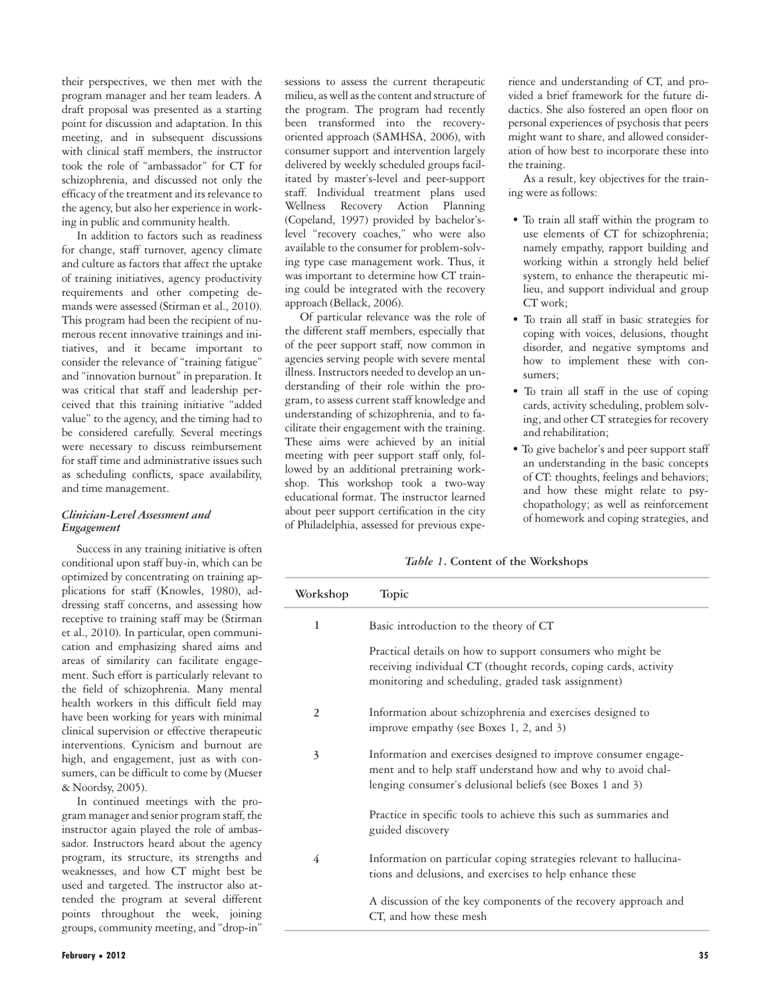their perspectives, we then met with the program manager and her team leaders. A draft proposal was presented as a starting point for discussion and adaptation. In this meeting, and in subsequent discussions with clinical staff members, the instructor took the role of "ambassador" for CT for schizophrenia, and discussed not only the efficacy of the treatment and its relevance to the agency, but also her experience in working in public and community health.

In addition to factors such as readiness for change, staff turnover, agency climate and culture as factors that affect the uptake of training initiatives, agency productivity requirements and other competing demands were assessed (Stirman et al., 2010). This program had been the recipient of numerous recent innovative trainings and initiatives, and it became important to consider the relevance of "training fatigue" and "innovation burnout" in preparation. It was critical that staff and leadership perceived that this training initiative "added value" to the agency, and the timing had to be considered carefully. Several meetings were necessary to discuss reimbursement for staff time and administrative issues such as scheduling conflicts, space availability, and time management.

### *Clinician-Level Assessment and Engagement*

Success in any training initiative is often conditional upon staff buy-in, which can be optimized by concentrating on training applications for staff (Knowles, 1980), addressing staff concerns, and assessing how receptive to training staff may be (Stirman et al., 2010). In particular, open communication and emphasizing shared aims and areas of similarity can facilitate engagement. Such effort is particularly relevant to the field of schizophrenia. Many mental health workers in this difficult field may have been working for years with minimal clinical supervision or effective therapeutic interventions. Cynicism and burnout are high, and engagement, just as with consumers, can be difficult to come by (Mueser & Noordsy, 2005).

In continued meetings with the program manager and senior program staff, the instructor again played the role of ambassador. Instructors heard about the agency program, its structure, its strengths and weaknesses, and how CT might best be used and targeted. The instructor also attended the program at several different points throughout the week, joining groups, community meeting, and "drop-in"

sessions to assess the current therapeutic milieu, as well as the content and structure of the program. The program had recently been transformed into the recoveryoriented approach (SAMHSA, 2006), with consumer support and intervention largely delivered by weekly scheduled groups facilitated by master's-level and peer-support staff. Individual treatment plans used Wellness Recovery Action Planning (Copeland, 1997) provided by bachelor'slevel "recovery coaches," who were also available to the consumer for problem-solving type case management work. Thus, it was important to determine how CT training could be integrated with the recovery approach (Bellack, 2006).

Of particular relevance was the role of the different staff members, especially that of the peer support staff, now common in agencies serving people with severe mental illness. Instructors needed to develop an understanding of their role within the program, to assess current staff knowledge and understanding of schizophrenia, and to facilitate their engagement with the training. These aims were achieved by an initial meeting with peer support staff only, followed by an additional pretraining workshop. This workshop took a two-way educational format. The instructor learned about peer support certification in the city of Philadelphia, assessed for previous expe-

rience and understanding of CT, and provided a brief framework for the future didactics. She also fostered an open floor on personal experiences of psychosis that peers might want to share, and allowed consideration of how best to incorporate these into the training.

As a result, key objectives for the training were as follows:

- To train all staff within the program to use elements of CT for schizophrenia; namely empathy, rapport building and working within a strongly held belief system, to enhance the therapeutic milieu, and support individual and group CT work;
- To train all staff in basic strategies for coping with voices, delusions, thought disorder, and negative symptoms and how to implement these with consumers;
- To train all staff in the use of coping cards, activity scheduling, problem solving, and other CT strategies for recovery and rehabilitation;
- To give bachelor's and peer support staff an understanding in the basic concepts of CT: thoughts, feelings and behaviors; and how these might relate to psychopathology; as well as reinforcement of homework and coping strategies, and

*Table 1***. Content of the Workshops**

| Workshop | Topic                                                                                                                                                                                       |
|----------|---------------------------------------------------------------------------------------------------------------------------------------------------------------------------------------------|
| 1        | Basic introduction to the theory of CT                                                                                                                                                      |
|          | Practical details on how to support consumers who might be<br>receiving individual CT (thought records, coping cards, activity<br>monitoring and scheduling, graded task assignment)        |
| 2        | Information about schizophrenia and exercises designed to<br>improve empathy (see Boxes 1, 2, and 3)                                                                                        |
| 3        | Information and exercises designed to improve consumer engage-<br>ment and to help staff understand how and why to avoid chal-<br>lenging consumer's delusional beliefs (see Boxes 1 and 3) |
|          | Practice in specific tools to achieve this such as summaries and<br>guided discovery                                                                                                        |
| 4        | Information on particular coping strategies relevant to hallucina-<br>tions and delusions, and exercises to help enhance these                                                              |
|          | A discussion of the key components of the recovery approach and<br>CT, and how these mesh                                                                                                   |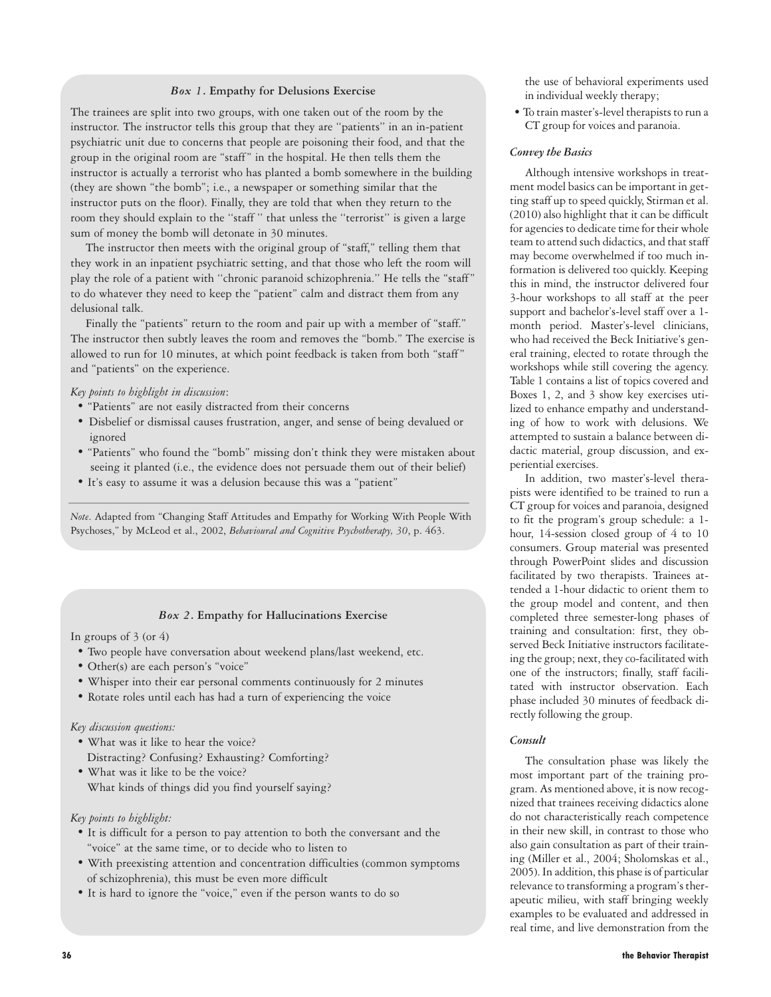#### *Box 1***. Empathy for Delusions Exercise**

The trainees are split into two groups, with one taken out of the room by the instructor. The instructor tells this group that they are ''patients'' in an in-patient psychiatric unit due to concerns that people are poisoning their food, and that the group in the original room are "staff " in the hospital. He then tells them the instructor is actually a terrorist who has planted a bomb somewhere in the building (they are shown "the bomb"; i.e., a newspaper or something similar that the instructor puts on the floor). Finally, they are told that when they return to the room they should explain to the ''staff '' that unless the ''terrorist'' is given a large sum of money the bomb will detonate in 30 minutes.

The instructor then meets with the original group of "staff," telling them that they work in an inpatient psychiatric setting, and that those who left the room will play the role of a patient with ''chronic paranoid schizophrenia.'' He tells the "staff " to do whatever they need to keep the "patient" calm and distract them from any delusional talk.

Finally the "patients" return to the room and pair up with a member of "staff." The instructor then subtly leaves the room and removes the "bomb." The exercise is allowed to run for 10 minutes, at which point feedback is taken from both "staff " and "patients" on the experience.

#### *Key points to highlight in discussion*:

- "Patients" are not easily distracted from their concerns
- Disbelief or dismissal causes frustration, anger, and sense of being devalued or ignored
- "Patients" who found the "bomb" missing don't think they were mistaken about seeing it planted (i.e., the evidence does not persuade them out of their belief)
- It's easy to assume it was a delusion because this was a "patient"

*Note*. Adapted from "Changing Staff Attitudes and Empathy for Working With People With Psychoses," by McLeod et al., 2002, *Behavioural and Cognitive Psychotherapy, 30*, p. 463.

## *Box 2***. Empathy for Hallucinations Exercise**

In groups of 3 (or 4)

- Two people have conversation about weekend plans/last weekend, etc.
- Other(s) are each person's "voice"
- Whisper into their ear personal comments continuously for 2 minutes
- Rotate roles until each has had a turn of experiencing the voice

#### *Key discussion questions:*

- What was it like to hear the voice? Distracting? Confusing? Exhausting? Comforting?
- What was it like to be the voice? What kinds of things did you find yourself saying?

## *Key points to highlight:*

- It is difficult for a person to pay attention to both the conversant and the "voice" at the same time, or to decide who to listen to
- With preexisting attention and concentration difficulties (common symptoms of schizophrenia), this must be even more difficult
- It is hard to ignore the "voice," even if the person wants to do so

the use of behavioral experiments used in individual weekly therapy;

• To train master's-level therapists to run a CT group for voices and paranoia.

### *Convey the Basics*

Although intensive workshops in treatment model basics can be important in getting staff up to speed quickly, Stirman et al. (2010) also highlight that it can be difficult for agencies to dedicate time for their whole team to attend such didactics, and that staff may become overwhelmed if too much information is delivered too quickly. Keeping this in mind, the instructor delivered four 3-hour workshops to all staff at the peer support and bachelor's-level staff over a 1 month period. Master's-level clinicians, who had received the Beck Initiative's general training, elected to rotate through the workshops while still covering the agency. Table 1 contains a list of topics covered and Boxes 1, 2, and 3 show key exercises utilized to enhance empathy and understanding of how to work with delusions. We attempted to sustain a balance between didactic material, group discussion, and experiential exercises.

In addition, two master's-level therapists were identified to be trained to run a CT group for voices and paranoia, designed to fit the program's group schedule: a 1 hour, 14-session closed group of 4 to 10 consumers. Group material was presented through PowerPoint slides and discussion facilitated by two therapists. Trainees attended a 1-hour didactic to orient them to the group model and content, and then completed three semester-long phases of training and consultation: first, they observed Beck Initiative instructors facilitateing the group; next, they co-facilitated with one of the instructors; finally, staff facilitated with instructor observation. Each phase included 30 minutes of feedback directly following the group.

#### *Consult*

The consultation phase was likely the most important part of the training program. As mentioned above, it is now recognized that trainees receiving didactics alone do not characteristically reach competence in their new skill, in contrast to those who also gain consultation as part of their training (Miller et al., 2004; Sholomskas et al., 2005). In addition, this phase is of particular relevance to transforming a program's therapeutic milieu, with staff bringing weekly examples to be evaluated and addressed in real time, and live demonstration from the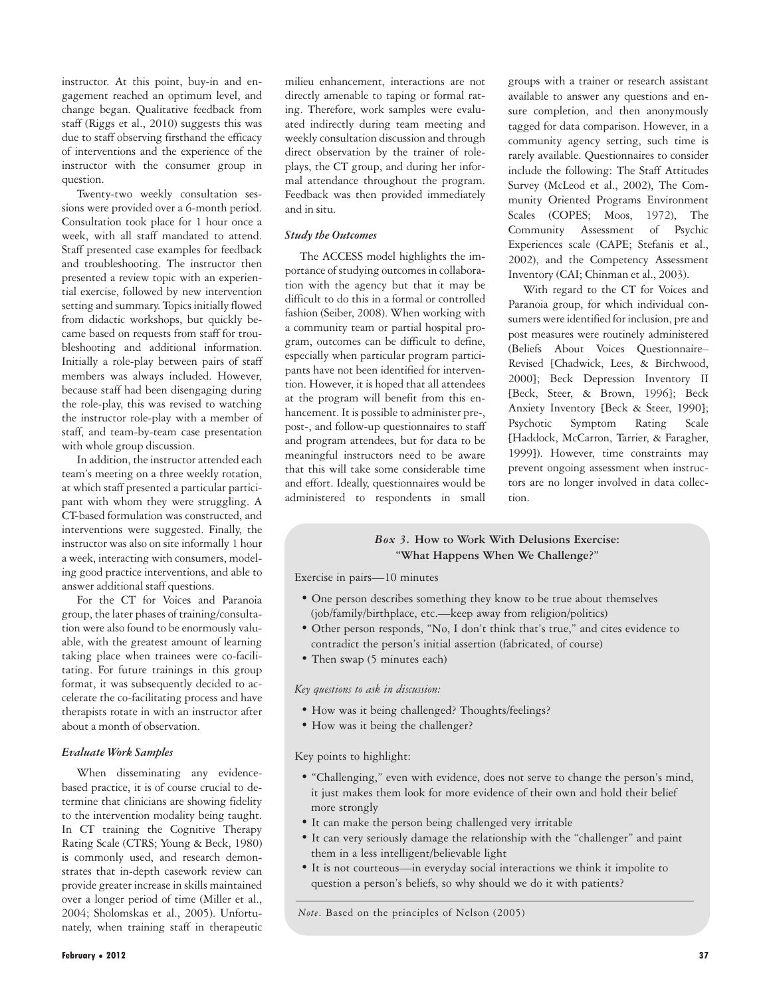instructor. At this point, buy-in and engagement reached an optimum level, and change began. Qualitative feedback from staff (Riggs et al., 2010) suggests this was due to staff observing firsthand the efficacy of interventions and the experience of the instructor with the consumer group in question.

Twenty-two weekly consultation sessions were provided over a 6-month period. Consultation took place for 1 hour once a week, with all staff mandated to attend. Staff presented case examples for feedback and troubleshooting. The instructor then presented a review topic with an experiential exercise, followed by new intervention setting and summary. Topics initially flowed from didactic workshops, but quickly became based on requests from staff for troubleshooting and additional information. Initially a role-play between pairs of staff members was always included. However, because staff had been disengaging during the role-play, this was revised to watching the instructor role-play with a member of staff, and team-by-team case presentation with whole group discussion.

In addition, the instructor attended each team's meeting on a three weekly rotation, at which staff presented a particular participant with whom they were struggling. A CT-based formulation was constructed, and interventions were suggested. Finally, the instructor was also on site informally 1 hour a week, interacting with consumers, modeling good practice interventions, and able to answer additional staff questions.

For the CT for Voices and Paranoia group, the later phases of training/consultation were also found to be enormously valuable, with the greatest amount of learning taking place when trainees were co-facilitating. For future trainings in this group format, it was subsequently decided to accelerate the co-facilitating process and have therapists rotate in with an instructor after about a month of observation.

## *Evaluate Work Samples*

When disseminating any evidencebased practice, it is of course crucial to determine that clinicians are showing fidelity to the intervention modality being taught. In CT training the Cognitive Therapy Rating Scale (CTRS; Young & Beck, 1980) is commonly used, and research demonstrates that in-depth casework review can provide greater increase in skills maintained over a longer period of time (Miller et al., 2004; Sholomskas et al., 2005). Unfortunately, when training staff in therapeutic

milieu enhancement, interactions are not directly amenable to taping or formal rating. Therefore, work samples were evaluated indirectly during team meeting and weekly consultation discussion and through direct observation by the trainer of roleplays, the CT group, and during her informal attendance throughout the program. Feedback was then provided immediately and in situ.

## *Study the Outcomes*

The ACCESS model highlights the importance of studying outcomes in collaboration with the agency but that it may be difficult to do this in a formal or controlled fashion (Seiber, 2008). When working with a community team or partial hospital program, outcomes can be difficult to define, especially when particular program participants have not been identified for intervention. However, it is hoped that all attendees at the program will benefit from this enhancement. It is possible to administer pre-, post-, and follow-up questionnaires to staff and program attendees, but for data to be meaningful instructors need to be aware that this will take some considerable time and effort. Ideally, questionnaires would be administered to respondents in small

groups with a trainer or research assistant available to answer any questions and ensure completion, and then anonymously tagged for data comparison. However, in a community agency setting, such time is rarely available. Questionnaires to consider include the following: The Staff Attitudes Survey (McLeod et al., 2002), The Community Oriented Programs Environment Scales (COPES; Moos, 1972), The Community Assessment of Psychic Experiences scale (CAPE; Stefanis et al., 2002), and the Competency Assessment Inventory (CAI; Chinman et al., 2003).

With regard to the CT for Voices and Paranoia group, for which individual consumers were identified for inclusion, pre and post measures were routinely administered (Beliefs About Voices Questionnaire– Revised [Chadwick, Lees, & Birchwood, 2000]; Beck Depression Inventory II [Beck, Steer, & Brown, 1996]; Beck Anxiety Inventory [Beck & Steer, 1990]; Psychotic Symptom Rating Scale [Haddock, McCarron, Tarrier, & Faragher, 1999]). However, time constraints may prevent ongoing assessment when instructors are no longer involved in data collection.

## *Box 3.* **How to Work With Delusions Exercise: "What Happens When We Challenge?"**

Exercise in pairs—10 minutes

- One person describes something they know to be true about themselves (job/family/birthplace, etc.—keep away from religion/politics)
- Other person responds, "No, I don't think that's true," and cites evidence to contradict the person's initial assertion (fabricated, of course)
- Then swap (5 minutes each)

#### *Key questions to ask in discussion:*

- How was it being challenged? Thoughts/feelings?
- How was it being the challenger?

Key points to highlight:

- "Challenging," even with evidence, does not serve to change the person's mind, it just makes them look for more evidence of their own and hold their belief more strongly
- It can make the person being challenged very irritable
- It can very seriously damage the relationship with the "challenger" and paint them in a less intelligent/believable light
- It is not courteous—in everyday social interactions we think it impolite to question a person's beliefs, so why should we do it with patients?

*Note*. Based on the principles of Nelson (2005)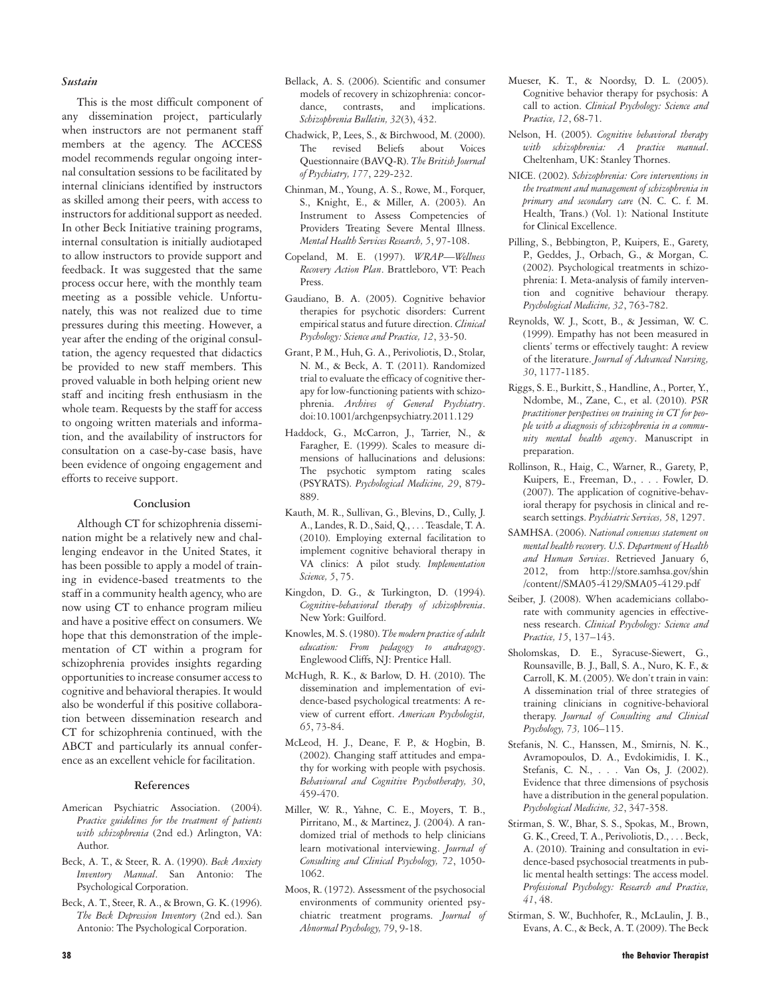#### *Sustain*

This is the most difficult component of any dissemination project, particularly when instructors are not permanent staff members at the agency. The ACCESS model recommends regular ongoing internal consultation sessions to be facilitated by internal clinicians identified by instructors as skilled among their peers, with access to instructors for additional support as needed. In other Beck Initiative training programs, internal consultation is initially audiotaped to allow instructors to provide support and feedback. It was suggested that the same process occur here, with the monthly team meeting as a possible vehicle. Unfortunately, this was not realized due to time pressures during this meeting. However, a year after the ending of the original consultation, the agency requested that didactics be provided to new staff members. This proved valuable in both helping orient new staff and inciting fresh enthusiasm in the whole team. Requests by the staff for access to ongoing written materials and information, and the availability of instructors for consultation on a case-by-case basis, have been evidence of ongoing engagement and efforts to receive support.

#### **Conclusion**

Although CT for schizophrenia dissemination might be a relatively new and challenging endeavor in the United States, it has been possible to apply a model of training in evidence-based treatments to the staff in a community health agency, who are now using CT to enhance program milieu and have a positive effect on consumers. We hope that this demonstration of the implementation of CT within a program for schizophrenia provides insights regarding opportunities to increase consumer access to cognitive and behavioral therapies. It would also be wonderful if this positive collaboration between dissemination research and CT for schizophrenia continued, with the ABCT and particularly its annual conference as an excellent vehicle for facilitation.

#### **References**

- American Psychiatric Association. (2004). *Practice guidelines for the treatment of patients with schizophrenia* (2nd ed.) Arlington, VA: Author.
- Beck, A. T., & Steer, R. A. (1990). *Beck Anxiety Inventory Manual*. San Antonio: The Psychological Corporation.
- Beck, A. T., Steer, R. A., & Brown, G. K. (1996). *The Beck Depression Inventory* (2nd ed.). San Antonio: The Psychological Corporation.
- Bellack, A. S. (2006). Scientific and consumer models of recovery in schizophrenia: concordance, contrasts, and implications. *Schizophrenia Bulletin, 32*(3), 432.
- Chadwick, P., Lees, S., & Birchwood, M. (2000). The revised Beliefs about Voices Questionnaire (BAVQ-R). *The British Journal of Psychiatry, 177*, 229-232.
- Chinman, M., Young, A. S., Rowe, M., Forquer, S., Knight, E., & Miller, A. (2003). An Instrument to Assess Competencies of Providers Treating Severe Mental Illness. *Mental Health Services Research, 5*, 97-108.
- Copeland, M. E. (1997). *WRAP—Wellness Recovery Action Plan*. Brattleboro, VT: Peach Press.
- Gaudiano, B. A. (2005). Cognitive behavior therapies for psychotic disorders: Current empirical status and future direction. *Clinical Psychology: Science and Practice, 12*, 33-50.
- Grant, P. M., Huh, G. A., Perivoliotis, D., Stolar, N. M., & Beck, A. T. (2011). Randomized trial to evaluate the efficacy of cognitive therapy for low-functioning patients with schizophrenia. *Archives of General Psychiatry*. doi:10.1001/archgenpsychiatry.2011.129
- Haddock, G., McCarron, J., Tarrier, N., & Faragher, E. (1999). Scales to measure dimensions of hallucinations and delusions: The psychotic symptom rating scales (PSYRATS). *Psychological Medicine, 29*, 879- 889.
- Kauth, M. R., Sullivan, G., Blevins, D., Cully, J. A., Landes, R. D., Said, Q., . . . Teasdale, T. A. (2010). Employing external facilitation to implement cognitive behavioral therapy in VA clinics: A pilot study. *Implementation Science, 5*, 75.
- Kingdon, D. G., & Turkington, D. (1994). *Cognitive-behavioral therapy of schizophrenia*. New York: Guilford.
- Knowles, M. S. (1980). *The modern practice of adult education: From pedagogy to andragogy*. Englewood Cliffs, NJ: Prentice Hall.
- McHugh, R. K., & Barlow, D. H. (2010). The dissemination and implementation of evidence-based psychological treatments: A review of current effort. *American Psychologist, 65*, 73-84.
- McLeod, H. J., Deane, F. P., & Hogbin, B. (2002). Changing staff attitudes and empathy for working with people with psychosis. *Behavioural and Cognitive Psychotherapy, 30*, 459-470.
- Miller, W. R., Yahne, C. E., Moyers, T. B., Pirritano, M., & Martinez, J. (2004). A randomized trial of methods to help clinicians learn motivational interviewing. *Journal of Consulting and Clinical Psychology, 72*, 1050- 1062.
- Moos, R. (1972). Assessment of the psychosocial environments of community oriented psychiatric treatment programs. *Journal of Abnormal Psychology, 79*, 9-18.
- Mueser, K. T., & Noordsy, D. L. (2005). Cognitive behavior therapy for psychosis: A call to action. *Clinical Psychology: Science and Practice, 12*, 68-71.
- Nelson, H. (2005). *Cognitive behavioral therapy with schizophrenia: A practice manual*. Cheltenham, UK: Stanley Thornes.
- NICE. (2002). *Schizophrenia: Core interventions in the treatment and management of schizophrenia in primary and secondary care* (N. C. C. f. M. Health, Trans.) (Vol. 1): National Institute for Clinical Excellence.
- Pilling, S., Bebbington, P., Kuipers, E., Garety, P., Geddes, J., Orbach, G., & Morgan, C. (2002). Psychological treatments in schizophrenia: I. Meta-analysis of family intervention and cognitive behaviour therapy. *Psychological Medicine, 32*, 763-782.
- Reynolds, W. J., Scott, B., & Jessiman, W. C. (1999). Empathy has not been measured in clients' terms or effectively taught: A review of the literature. *Journal of Advanced Nursing, 30*, 1177-1185.
- Riggs, S. E., Burkitt, S., Handline, A., Porter, Y., Ndombe, M., Zane, C., et al. (2010). *PSR practitioner perspectives on training in CT for people with a diagnosis of schizophrenia in a community mental health agency*. Manuscript in preparation.
- Rollinson, R., Haig, C., Warner, R., Garety, P., Kuipers, E., Freeman, D., . . . Fowler, D. (2007). The application of cognitive-behavioral therapy for psychosis in clinical and research settings. *Psychiatric Services, 58*, 1297.
- SAMHSA. (2006). *National consensus statement on mental health recovery. U.S. Department of Health and Human Services*. Retrieved January 6, 2012, from http://store.samhsa.gov/shin /content//SMA05-4129/SMA05-4129.pdf
- Seiber, J. (2008). When academicians collaborate with community agencies in effectiveness research. *Clinical Psychology: Science and Practice, 15*, 137–143.
- Sholomskas, D. E., Syracuse-Siewert, G., Rounsaville, B. J., Ball, S. A., Nuro, K. F., & Carroll, K. M. (2005). We don't train in vain: A dissemination trial of three strategies of training clinicians in cognitive-behavioral therapy. *Journal of Consulting and Clinical Psychology, 73,* 106–115.
- Stefanis, N. C., Hanssen, M., Smirnis, N. K., Avramopoulos, D. A., Evdokimidis, I. K., Stefanis, C. N., . . . Van Os, J. (2002). Evidence that three dimensions of psychosis have a distribution in the general population. *Psychological Medicine, 32*, 347-358.
- Stirman, S. W., Bhar, S. S., Spokas, M., Brown, G. K., Creed, T. A., Perivoliotis, D., . . . Beck, A. (2010). Training and consultation in evidence-based psychosocial treatments in public mental health settings: The access model. *Professional Psychology: Research and Practice, 41*, 48.
- Stirman, S. W., Buchhofer, R., McLaulin, J. B., Evans, A. C., & Beck, A. T. (2009). The Beck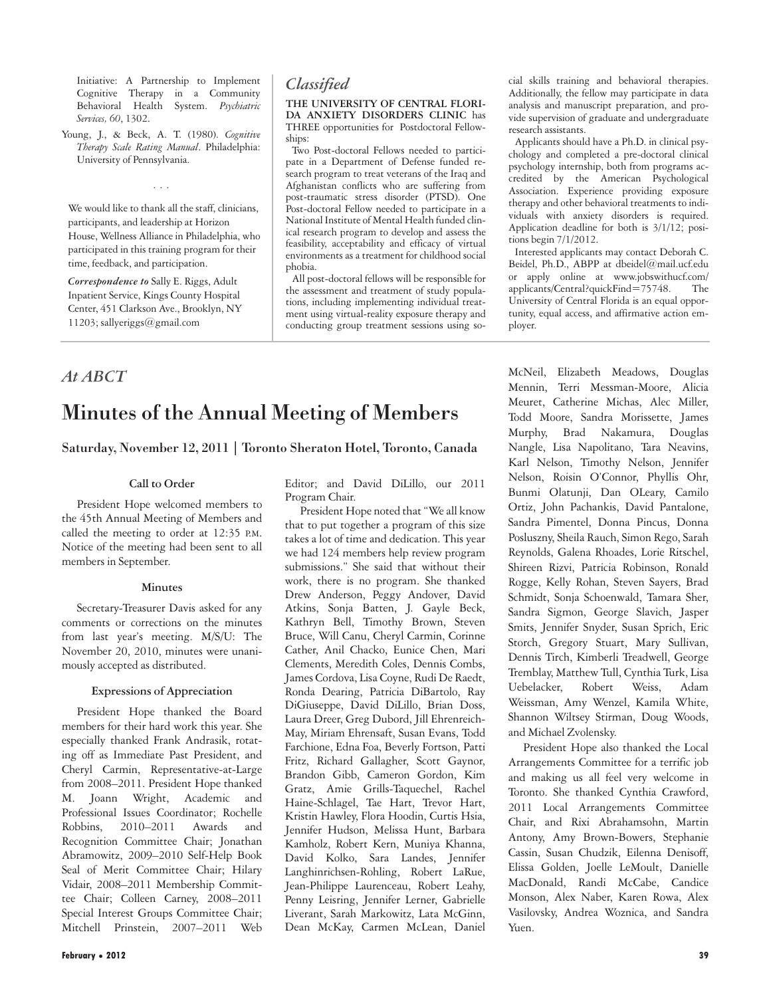Initiative: A Partnership to Implement Cognitive Therapy in a Community Behavioral Health System. *Psychiatric Services, 60*, 1302.

Young, J., & Beck, A. T. (1980). *Cognitive Therapy Scale Rating Manual*. Philadelphia: University of Pennsylvania.

...

We would like to thank all the staff, clinicians, participants, and leadership at Horizon House, Wellness Alliance in Philadelphia, who participated in this training program for their time, feedback, and participation.

*Correspondence to* Sally E. Riggs, Adult Inpatient Service, Kings County Hospital Center, 451 Clarkson Ave., Brooklyn, NY 11203; sallyeriggs@gmail.com

## *Classified*

**THE UNIVERSITY OF CENTRAL FLORI-DA ANXIETY DISORDERS CLINIC** has THREE opportunities for Postdoctoral Fellowships:

Two Post-doctoral Fellows needed to participate in a Department of Defense funded research program to treat veterans of the Iraq and Afghanistan conflicts who are suffering from post-traumatic stress disorder (PTSD). One Post-doctoral Fellow needed to participate in a National Institute of Mental Health funded clinical research program to develop and assess the feasibility, acceptability and efficacy of virtual environments as a treatment for childhood social phobia.

All post-doctoral fellows will be responsible for the assessment and treatment of study populations, including implementing individual treatment using virtual-reality exposure therapy and conducting group treatment sessions using social skills training and behavioral therapies. Additionally, the fellow may participate in data analysis and manuscript preparation, and provide supervision of graduate and undergraduate research assistants.

Applicants should have a Ph.D. in clinical psychology and completed a pre-doctoral clinical psychology internship, both from programs accredited by the American Psychological Association. Experience providing exposure therapy and other behavioral treatments to individuals with anxiety disorders is required. Application deadline for both is 3/1/12; positions begin 7/1/2012.

Interested applicants may contact Deborah C. Beidel, Ph.D., ABPP at dbeidel@mail.ucf.edu or apply online at www.jobswithucf.com/ applicants/Central?quickFind=75748. The University of Central Florida is an equal opportunity, equal access, and affirmative action employer.

## *At ABCT*

# Minutes of the Annual Meeting of Members

## Saturday, November 12, 2011 | Toronto Sheraton Hotel, Toronto, Canada

## **Call to Order**

President Hope welcomed members to the 45th Annual Meeting of Members and called the meeting to order at 12:35 P.M. Notice of the meeting had been sent to all members in September.

## **Minutes**

Secretary-Treasurer Davis asked for any comments or corrections on the minutes from last year's meeting. M/S/U: The November 20, 2010, minutes were unanimously accepted as distributed.

## **Expressions of Appreciation**

President Hope thanked the Board members for their hard work this year. She especially thanked Frank Andrasik, rotating off as Immediate Past President, and Cheryl Carmin, Representative-at-Large from 2008–2011. President Hope thanked M. Joann Wright, Academic and Professional Issues Coordinator; Rochelle Robbins, 2010–2011 Awards and Recognition Committee Chair; Jonathan Abramowitz, 2009–2010 Self-Help Book Seal of Merit Committee Chair; Hilary Vidair, 2008–2011 Membership Committee Chair; Colleen Carney, 2008–2011 Special Interest Groups Committee Chair; Mitchell Prinstein, 2007–2011 Web

Editor; and David DiLillo, our 2011 Program Chair.

President Hope noted that "We all know that to put together a program of this size takes a lot of time and dedication. This year we had 124 members help review program submissions." She said that without their work, there is no program. She thanked Drew Anderson, Peggy Andover, David Atkins, Sonja Batten, J. Gayle Beck, Kathryn Bell, Timothy Brown, Steven Bruce, Will Canu, Cheryl Carmin, Corinne Cather, Anil Chacko, Eunice Chen, Mari Clements, Meredith Coles, Dennis Combs, James Cordova, Lisa Coyne, Rudi De Raedt, Ronda Dearing, Patricia DiBartolo, Ray DiGiuseppe, David DiLillo, Brian Doss, Laura Dreer, Greg Dubord, Jill Ehrenreich-May, Miriam Ehrensaft, Susan Evans, Todd Farchione, Edna Foa, Beverly Fortson, Patti Fritz, Richard Gallagher, Scott Gaynor, Brandon Gibb, Cameron Gordon, Kim Gratz, Amie Grills-Taquechel, Rachel Haine-Schlagel, Tae Hart, Trevor Hart, Kristin Hawley, Flora Hoodin, Curtis Hsia, Jennifer Hudson, Melissa Hunt, Barbara Kamholz, Robert Kern, Muniya Khanna, David Kolko, Sara Landes, Jennifer Langhinrichsen-Rohling, Robert LaRue, Jean-Philippe Laurenceau, Robert Leahy, Penny Leisring, Jennifer Lerner, Gabrielle Liverant, Sarah Markowitz, Lata McGinn, Dean McKay, Carmen McLean, Daniel

McNeil, Elizabeth Meadows, Douglas Mennin, Terri Messman-Moore, Alicia Meuret, Catherine Michas, Alec Miller, Todd Moore, Sandra Morissette, James Murphy, Brad Nakamura, Douglas Nangle, Lisa Napolitano, Tara Neavins, Karl Nelson, Timothy Nelson, Jennifer Nelson, Roisin O'Connor, Phyllis Ohr, Bunmi Olatunji, Dan OLeary, Camilo Ortiz, John Pachankis, David Pantalone, Sandra Pimentel, Donna Pincus, Donna Posluszny, Sheila Rauch, Simon Rego, Sarah Reynolds, Galena Rhoades, Lorie Ritschel, Shireen Rizvi, Patricia Robinson, Ronald Rogge, Kelly Rohan, Steven Sayers, Brad Schmidt, Sonja Schoenwald, Tamara Sher, Sandra Sigmon, George Slavich, Jasper Smits, Jennifer Snyder, Susan Sprich, Eric Storch, Gregory Stuart, Mary Sullivan, Dennis Tirch, Kimberli Treadwell, George Tremblay, Matthew Tull, Cynthia Turk, Lisa Uebelacker, Robert Weiss, Adam Weissman, Amy Wenzel, Kamila White, Shannon Wiltsey Stirman, Doug Woods, and Michael Zvolensky.

President Hope also thanked the Local Arrangements Committee for a terrific job and making us all feel very welcome in Toronto. She thanked Cynthia Crawford, 2011 Local Arrangements Committee Chair, and Rixi Abrahamsohn, Martin Antony, Amy Brown-Bowers, Stephanie Cassin, Susan Chudzik, Eilenna Denisoff, Elissa Golden, Joelle LeMoult, Danielle MacDonald, Randi McCabe, Candice Monson, Alex Naber, Karen Rowa, Alex Vasilovsky, Andrea Woznica, and Sandra Yuen.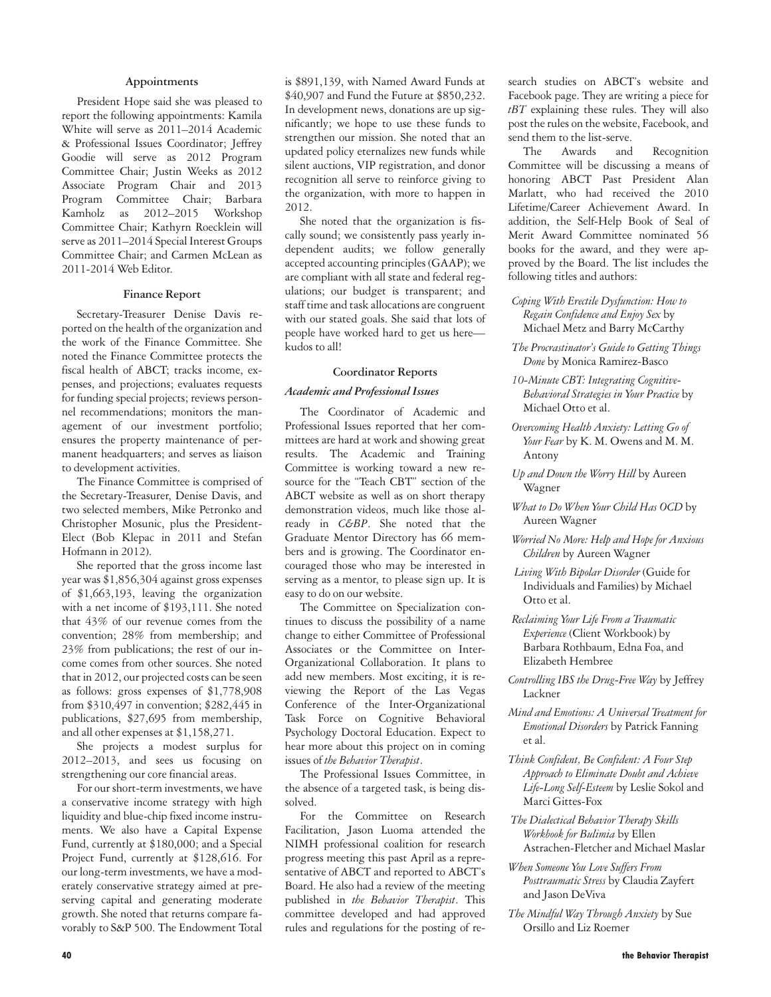#### **Appointments**

President Hope said she was pleased to report the following appointments: Kamila White will serve as 2011–2014 Academic & Professional Issues Coordinator; Jeffrey Goodie will serve as 2012 Program Committee Chair; Justin Weeks as 2012 Associate Program Chair and 2013 Program Committee Chair; Barbara Kamholz as 2012–2015 Workshop Committee Chair; Kathyrn Roecklein will serve as 2011–2014 Special Interest Groups Committee Chair; and Carmen McLean as 2011-2014 Web Editor.

#### **Finance Report**

Secretary-Treasurer Denise Davis reported on the health of the organization and the work of the Finance Committee. She noted the Finance Committee protects the fiscal health of ABCT; tracks income, expenses, and projections; evaluates requests for funding special projects; reviews personnel recommendations; monitors the management of our investment portfolio; ensures the property maintenance of permanent headquarters; and serves as liaison to development activities.

The Finance Committee is comprised of the Secretary-Treasurer, Denise Davis, and two selected members, Mike Petronko and Christopher Mosunic, plus the President-Elect (Bob Klepac in 2011 and Stefan Hofmann in 2012).

She reported that the gross income last year was \$1,856,304 against gross expenses of \$1,663,193, leaving the organization with a net income of \$193,111. She noted that 43% of our revenue comes from the convention; 28% from membership; and 23% from publications; the rest of our income comes from other sources. She noted that in 2012, our projected costs can be seen as follows: gross expenses of \$1,778,908 from \$310,497 in convention; \$282,445 in publications, \$27,695 from membership, and all other expenses at \$1,158,271.

She projects a modest surplus for 2012–2013, and sees us focusing on strengthening our core financial areas.

For our short-term investments, we have a conservative income strategy with high liquidity and blue-chip fixed income instruments. We also have a Capital Expense Fund, currently at \$180,000; and a Special Project Fund, currently at \$128,616. For our long-term investments, we have a moderately conservative strategy aimed at preserving capital and generating moderate growth. She noted that returns compare favorably to S&P 500. The Endowment Total

is \$891,139, with Named Award Funds at \$40,907 and Fund the Future at \$850,232. In development news, donations are up significantly; we hope to use these funds to strengthen our mission. She noted that an updated policy eternalizes new funds while silent auctions, VIP registration, and donor recognition all serve to reinforce giving to the organization, with more to happen in 2012.

She noted that the organization is fiscally sound; we consistently pass yearly independent audits; we follow generally accepted accounting principles (GAAP); we are compliant with all state and federal regulations; our budget is transparent; and staff time and task allocations are congruent with our stated goals. She said that lots of people have worked hard to get us here kudos to all!

## **Coordinator Reports** *Academic and Professional Issues*

The Coordinator of Academic and Professional Issues reported that her committees are hard at work and showing great results. The Academic and Training Committee is working toward a new resource for the "Teach CBT" section of the ABCT website as well as on short therapy demonstration videos, much like those already in *C&BP*. She noted that the Graduate Mentor Directory has 66 members and is growing. The Coordinator encouraged those who may be interested in serving as a mentor, to please sign up. It is easy to do on our website.

The Committee on Specialization continues to discuss the possibility of a name change to either Committee of Professional Associates or the Committee on Inter-Organizational Collaboration. It plans to add new members. Most exciting, it is reviewing the Report of the Las Vegas Conference of the Inter-Organizational Task Force on Cognitive Behavioral Psychology Doctoral Education. Expect to hear more about this project on in coming issues of *the Behavior Therapist*.

The Professional Issues Committee, in the absence of a targeted task, is being dissolved.

For the Committee on Research Facilitation, Jason Luoma attended the NIMH professional coalition for research progress meeting this past April as a representative of ABCT and reported to ABCT's Board. He also had a review of the meeting published in *the Behavior Therapist*. This committee developed and had approved rules and regulations for the posting of re-

search studies on ABCT's website and Facebook page. They are writing a piece for *tBT* explaining these rules. They will also post the rules on the website, Facebook, and send them to the list-serve.

The Awards and Recognition Committee will be discussing a means of honoring ABCT Past President Alan Marlatt, who had received the 2010 Lifetime/Career Achievement Award. In addition, the Self-Help Book of Seal of Merit Award Committee nominated 56 books for the award, and they were approved by the Board. The list includes the following titles and authors:

#### *Coping With Erectile Dysfunction: How to Regain Confidence and Enjoy Sex* by Michael Metz and Barry McCarthy

- *The Procrastinator's Guide to Getting Things Done* by Monica Ramirez-Basco
- *10-Minute CBT: Integrating Cognitive-Behavioral Strategies in Your Practice* by Michael Otto et al.
- *Overcoming Health Anxiety: Letting Go of Your Fear* by K. M. Owens and M. M. Antony
- *Up and Down the Worry Hill* by Aureen Wagner
- *What to Do When Your Child Has OCD* by Aureen Wagner
- *Worried No More: Help and Hope for Anxious Children* by Aureen Wagner
- *Living With Bipolar Disorder* (Guide for Individuals and Families) by Michael Otto et al.
- *Reclaiming Your Life From a Traumatic Experience* (Client Workbook) by Barbara Rothbaum, Edna Foa, and Elizabeth Hembree
- *Controlling IBS the Drug-Free Way* by Jeffrey Lackner
- *Mind and Emotions: A Universal Treatment for Emotional Disorders* by Patrick Fanning et al.
- *Think Confident, Be Confident: A Four Step Approach to Eliminate Doubt and Achieve Life-Long Self-Esteem* by Leslie Sokol and Marci Gittes-Fox
- *The Dialectical Behavior Therapy Skills Workbook for Bulimia* by Ellen Astrachen-Fletcher and Michael Maslar
- *When Someone You Love Suffers From Posttraumatic Stress* by Claudia Zayfert and Jason DeViva
- *The Mindful Way Through Anxiety* by Sue Orsillo and Liz Roemer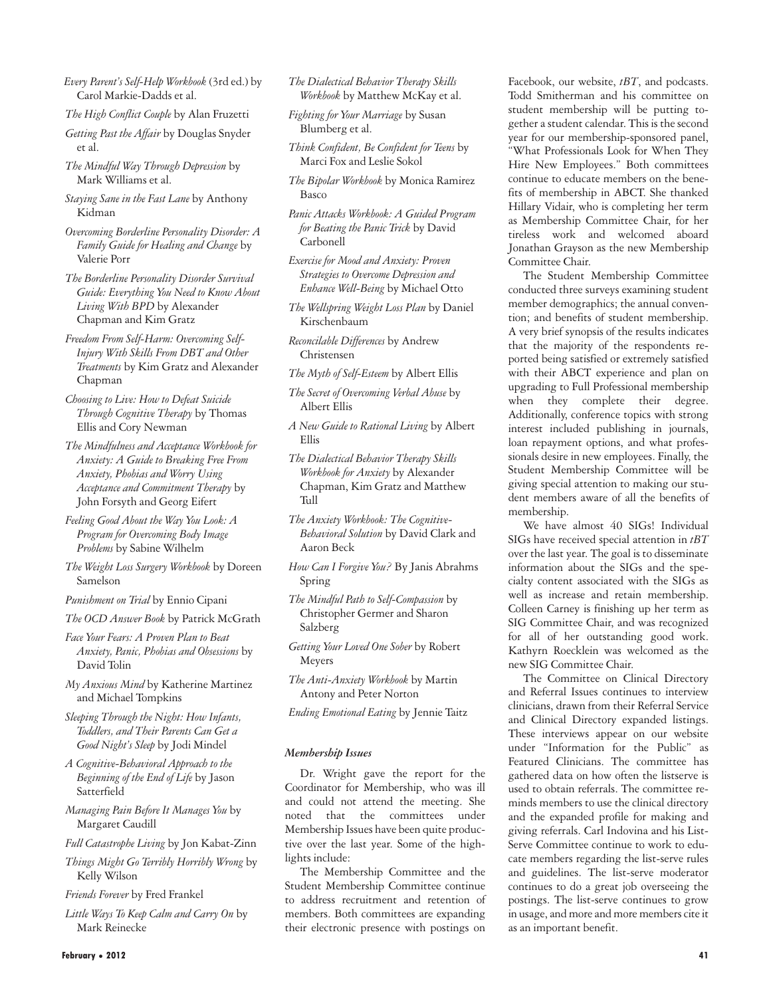- *Every Parent's Self-Help Workbook* (3rd ed.) by Carol Markie-Dadds et al.
- *The High Conflict Couple* by Alan Fruzetti
- *Getting Past the Affair* by Douglas Snyder et al.
- *The Mindful Way Through Depression* by Mark Williams et al.
- *Staying Sane in the Fast Lane* by Anthony Kidman
- *Overcoming Borderline Personality Disorder: A Family Guide for Healing and Change* by Valerie Porr
- *The Borderline Personality Disorder Survival Guide: Everything You Need to Know About Living With BPD* by Alexander Chapman and Kim Gratz
- *Freedom From Self-Harm: Overcoming Self-Injury With Skills From DBT and Other Treatments* by Kim Gratz and Alexander Chapman
- *Choosing to Live: How to Defeat Suicide Through Cognitive Therapy* by Thomas Ellis and Cory Newman
- *The Mindfulness and Acceptance Workbook for Anxiety: A Guide to Breaking Free From Anxiety, Phobias and Worry Using Acceptance and Commitment Therapy* by John Forsyth and Georg Eifert
- *Feeling Good About the Way You Look: A Program for Overcoming Body Image Problems* by Sabine Wilhelm
- *The Weight Loss Surgery Workbook* by Doreen Samelson
- *Punishment on Trial* by Ennio Cipani
- *The OCD Answer Book* by Patrick McGrath
- *Face Your Fears: A Proven Plan to Beat Anxiety, Panic, Phobias and Obsessions* by David Tolin
- *My Anxious Mind* by Katherine Martinez and Michael Tompkins
- *Sleeping Through the Night: How Infants, Toddlers, and Their Parents Can Get a Good Night's Sleep* by Jodi Mindel
- *A Cognitive-Behavioral Approach to the Beginning of the End of Life* by Jason Satterfield
- *Managing Pain Before It Manages You* by Margaret Caudill
- *Full Catastrophe Living* by Jon Kabat-Zinn
- *Things Might Go Terribly Horribly Wrong* by Kelly Wilson
- *Friends Forever* by Fred Frankel
- *Little Ways To Keep Calm and Carry On* by Mark Reinecke
- *The Dialectical Behavior Therapy Skills Workbook* by Matthew McKay et al.
- *Fighting for Your Marriage* by Susan Blumberg et al.
- *Think Confident, Be Confident for Teens* by Marci Fox and Leslie Sokol
- *The Bipolar Workbook* by Monica Ramirez Basco
- *Panic Attacks Workbook: A Guided Program for Beating the Panic Trick* by David Carbonell
- *Exercise for Mood and Anxiety: Proven Strategies to Overcome Depression and Enhance Well-Being* by Michael Otto
- *The Wellspring Weight Loss Plan* by Daniel Kirschenbaum
- *Reconcilable Differences* by Andrew Christensen
- *The Myth of Self-Esteem* by Albert Ellis
- *The Secret of Overcoming Verbal Abuse* by Albert Ellis
- *A New Guide to Rational Living* by Albert Ellis
- *The Dialectical Behavior Therapy Skills Workbook for Anxiety* by Alexander Chapman, Kim Gratz and Matthew Tull
- *The Anxiety Workbook: The Cognitive-Behavioral Solution* by David Clark and Aaron Beck
- *How Can I Forgive You?* By Janis Abrahms Spring
- *The Mindful Path to Self-Compassion* by Christopher Germer and Sharon Salzberg
- *Getting Your Loved One Sober* by Robert Meyers
- *The Anti-Anxiety Workbook* by Martin Antony and Peter Norton
- *Ending Emotional Eating* by Jennie Taitz

#### *Membership Issues*

Dr. Wright gave the report for the Coordinator for Membership, who was ill and could not attend the meeting. She noted that the committees under Membership Issues have been quite productive over the last year. Some of the highlights include:

The Membership Committee and the Student Membership Committee continue to address recruitment and retention of members. Both committees are expanding their electronic presence with postings on

Facebook, our website, *tBT*, and podcasts. Todd Smitherman and his committee on student membership will be putting together a student calendar. This is the second year for our membership-sponsored panel, "What Professionals Look for When They Hire New Employees." Both committees continue to educate members on the benefits of membership in ABCT. She thanked Hillary Vidair, who is completing her term as Membership Committee Chair, for her tireless work and welcomed aboard Jonathan Grayson as the new Membership Committee Chair.

The Student Membership Committee conducted three surveys examining student member demographics; the annual convention; and benefits of student membership. A very brief synopsis of the results indicates that the majority of the respondents reported being satisfied or extremely satisfied with their ABCT experience and plan on upgrading to Full Professional membership when they complete their degree. Additionally, conference topics with strong interest included publishing in journals, loan repayment options, and what professionals desire in new employees. Finally, the Student Membership Committee will be giving special attention to making our student members aware of all the benefits of membership.

We have almost 40 SIGs! Individual SIGs have received special attention in *tBT* over the last year. The goal is to disseminate information about the SIGs and the specialty content associated with the SIGs as well as increase and retain membership. Colleen Carney is finishing up her term as SIG Committee Chair, and was recognized for all of her outstanding good work. Kathyrn Roecklein was welcomed as the new SIG Committee Chair.

The Committee on Clinical Directory and Referral Issues continues to interview clinicians, drawn from their Referral Service and Clinical Directory expanded listings. These interviews appear on our website under "Information for the Public" as Featured Clinicians. The committee has gathered data on how often the listserve is used to obtain referrals. The committee reminds members to use the clinical directory and the expanded profile for making and giving referrals. Carl Indovina and his List-Serve Committee continue to work to educate members regarding the list-serve rules and guidelines. The list-serve moderator continues to do a great job overseeing the postings. The list-serve continues to grow in usage, and more and more members cite it as an important benefit.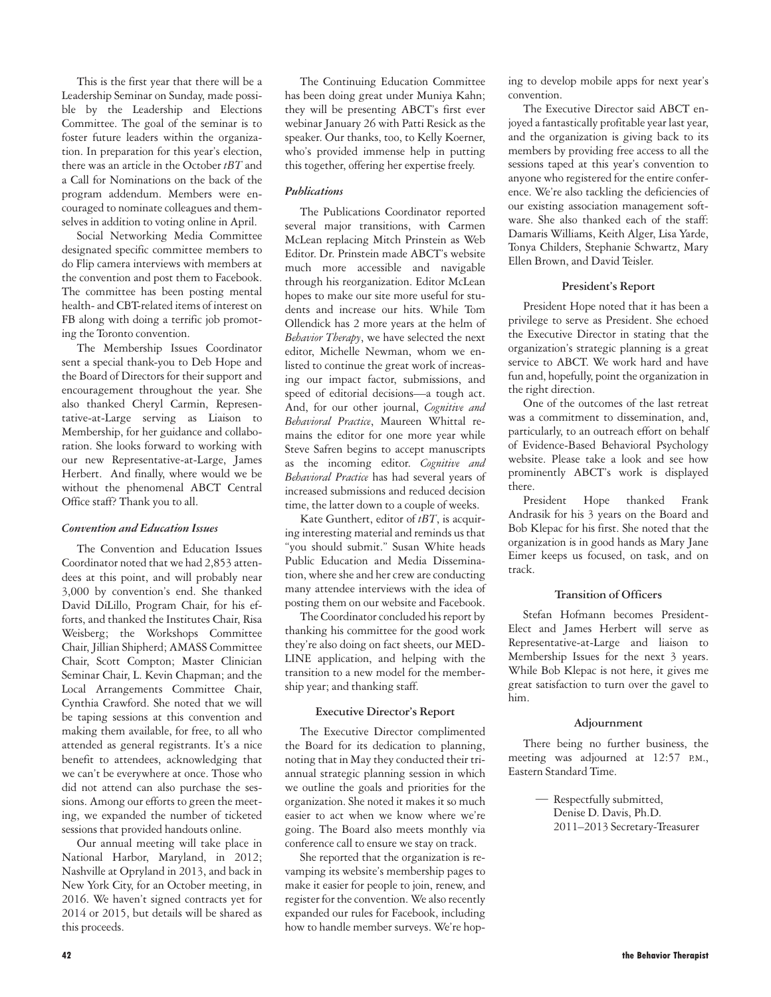This is the first year that there will be a Leadership Seminar on Sunday, made possible by the Leadership and Elections Committee. The goal of the seminar is to foster future leaders within the organization. In preparation for this year's election, there was an article in the October *tBT* and a Call for Nominations on the back of the program addendum. Members were encouraged to nominate colleagues and themselves in addition to voting online in April.

Social Networking Media Committee designated specific committee members to do Flip camera interviews with members at the convention and post them to Facebook. The committee has been posting mental health- and CBT-related items of interest on FB along with doing a terrific job promoting the Toronto convention.

The Membership Issues Coordinator sent a special thank-you to Deb Hope and the Board of Directors for their support and encouragement throughout the year. She also thanked Cheryl Carmin, Representative-at-Large serving as Liaison to Membership, for her guidance and collaboration. She looks forward to working with our new Representative-at-Large, James Herbert. And finally, where would we be without the phenomenal ABCT Central Office staff? Thank you to all.

#### *Convention and Education Issues*

The Convention and Education Issues Coordinator noted that we had 2,853 attendees at this point, and will probably near 3,000 by convention's end. She thanked David DiLillo, Program Chair, for his efforts, and thanked the Institutes Chair, Risa Weisberg; the Workshops Committee Chair, Jillian Shipherd; AMASS Committee Chair, Scott Compton; Master Clinician Seminar Chair, L. Kevin Chapman; and the Local Arrangements Committee Chair, Cynthia Crawford. She noted that we will be taping sessions at this convention and making them available, for free, to all who attended as general registrants. It's a nice benefit to attendees, acknowledging that we can't be everywhere at once. Those who did not attend can also purchase the sessions. Among our efforts to green the meeting, we expanded the number of ticketed sessions that provided handouts online.

Our annual meeting will take place in National Harbor, Maryland, in 2012; Nashville at Opryland in 2013, and back in New York City, for an October meeting, in 2016. We haven't signed contracts yet for 2014 or 2015, but details will be shared as this proceeds.

The Continuing Education Committee has been doing great under Muniya Kahn; they will be presenting ABCT's first ever webinar January 26 with Patti Resick as the speaker. Our thanks, too, to Kelly Koerner, who's provided immense help in putting this together, offering her expertise freely.

#### *Publications*

The Publications Coordinator reported several major transitions, with Carmen McLean replacing Mitch Prinstein as Web Editor. Dr. Prinstein made ABCT's website much more accessible and navigable through his reorganization. Editor McLean hopes to make our site more useful for students and increase our hits. While Tom Ollendick has 2 more years at the helm of *Behavior Therapy*, we have selected the next editor, Michelle Newman, whom we enlisted to continue the great work of increasing our impact factor, submissions, and speed of editorial decisions—a tough act. And, for our other journal, *Cognitive and Behavioral Practice*, Maureen Whittal remains the editor for one more year while Steve Safren begins to accept manuscripts as the incoming editor. *Cognitive and Behavioral Practice* has had several years of increased submissions and reduced decision time, the latter down to a couple of weeks.

Kate Gunthert, editor of *tBT*, is acquiring interesting material and reminds us that "you should submit." Susan White heads Public Education and Media Dissemination, where she and her crew are conducting many attendee interviews with the idea of posting them on our website and Facebook.

The Coordinator concluded his report by thanking his committee for the good work they're also doing on fact sheets, our MED-LINE application, and helping with the transition to a new model for the membership year; and thanking staff.

#### **Executive Director's Report**

The Executive Director complimented the Board for its dedication to planning, noting that in May they conducted their triannual strategic planning session in which we outline the goals and priorities for the organization. She noted it makes it so much easier to act when we know where we're going. The Board also meets monthly via conference call to ensure we stay on track.

She reported that the organization is revamping its website's membership pages to make it easier for people to join, renew, and register for the convention. We also recently expanded our rules for Facebook, including how to handle member surveys. We're hop-

ing to develop mobile apps for next year's convention.

The Executive Director said ABCT enjoyed a fantastically profitable year last year, and the organization is giving back to its members by providing free access to all the sessions taped at this year's convention to anyone who registered for the entire conference. We're also tackling the deficiencies of our existing association management software. She also thanked each of the staff: Damaris Williams, Keith Alger, Lisa Yarde, Tonya Childers, Stephanie Schwartz, Mary Ellen Brown, and David Teisler.

#### **President's Report**

President Hope noted that it has been a privilege to serve as President. She echoed the Executive Director in stating that the organization's strategic planning is a great service to ABCT. We work hard and have fun and, hopefully, point the organization in the right direction.

One of the outcomes of the last retreat was a commitment to dissemination, and, particularly, to an outreach effort on behalf of Evidence-Based Behavioral Psychology website. Please take a look and see how prominently ABCT's work is displayed there.

President Hope thanked Frank Andrasik for his 3 years on the Board and Bob Klepac for his first. She noted that the organization is in good hands as Mary Jane Eimer keeps us focused, on task, and on track.

#### **Transition of Officers**

Stefan Hofmann becomes President-Elect and James Herbert will serve as Representative-at-Large and liaison to Membership Issues for the next 3 years. While Bob Klepac is not here, it gives me great satisfaction to turn over the gavel to him.

#### **Adjournment**

There being no further business, the meeting was adjourned at 12:57 P.M., Eastern Standard Time.

> Respectfully submitted, —Denise D. Davis, Ph.D. 2011–2013 Secretary-Treasurer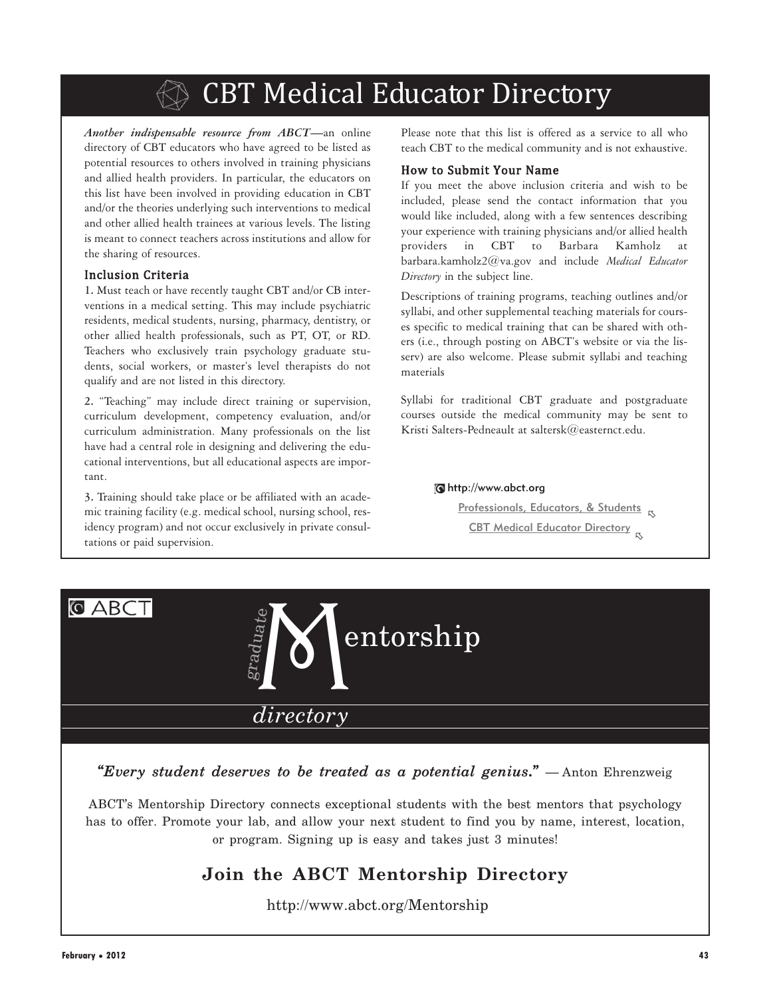# CBT Medical Educator Directory

*Another indispensable resource from ABCT—*an online directory of CBT educators who have agreed to be listed as potential resources to others involved in training physicians and allied health providers. In particular, the educators on this list have been involved in providing education in CBT and/or the theories underlying such interventions to medical and other allied health trainees at various levels. The listing is meant to connect teachers across institutions and allow for the sharing of resources.

## Inclusion Criteria

**1.** Must teach or have recently taught CBT and/or CB interventions in a medical setting. This may include psychiatric residents, medical students, nursing, pharmacy, dentistry, or other allied health professionals, such as PT, OT, or RD. Teachers who exclusively train psychology graduate students, social workers, or master's level therapists do not qualify and are not listed in this directory.

**2.** "Teaching" may include direct training or supervision, curriculum development, competency evaluation, and/or curriculum administration. Many professionals on the list have had a central role in designing and delivering the educational interventions, but all educational aspects are important.

**3.** Training should take place or be affiliated with an academic training facility (e.g. medical school, nursing school, residency program) and not occur exclusively in private consultations or paid supervision.

Please note that this list is offered as a service to all who teach CBT to the medical community and is not exhaustive.

## How to Submit Your Name

If you meet the above inclusion criteria and wish to be included, please send the contact information that you would like included, along with a few sentences describing your experience with training physicians and/or allied health providers in CBT to Barbara Kamholz at barbara.kamholz2@va.gov and include *Medical Educator Directory* in the subject line.

Descriptions of training programs, teaching outlines and/or syllabi, and other supplemental teaching materials for courses specific to medical training that can be shared with others (i.e., through posting on ABCT's website or via the lisserv) are also welcome. Please submit syllabi and teaching materials

Syllabi for traditional CBT graduate and postgraduate courses outside the medical community may be sent to Kristi Salters-Pedneault at saltersk@easternct.edu.

#### http://www.abct.org

Professionals, Educators, & Students -CBT Medical Educator Directory  $_\textrm{\tiny{I\!S}}$ 



*"Every student deserves to be treated as a potential genius***.***"* — Anton Ehrenzweig

ABCT's Mentorship Directory connects exceptional students with the best mentors that psychology has to offer. Promote your lab, and allow your next student to find you by name, interest, location, or program. Signing up is easy and takes just 3 minutes!

## **Join the ABCT Mentorship Directory**

http://www.abct.org/Mentorship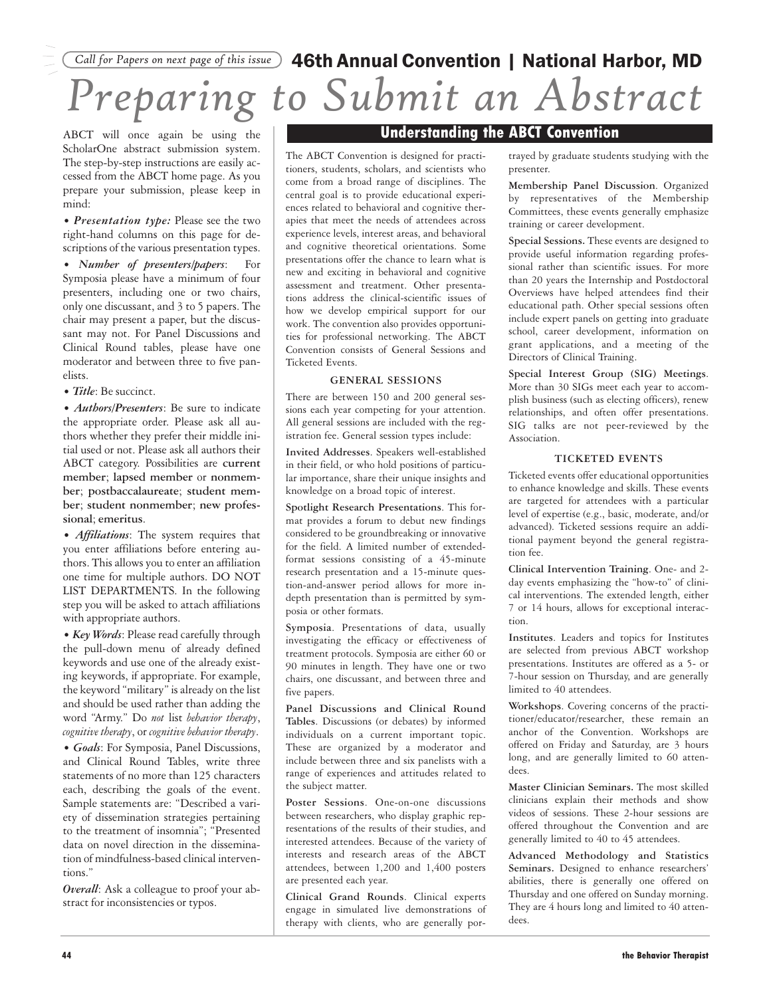# *Preparing to Submit an Abstract Call for Papers on next page of this issue* 46th Annual Convention | National Harbor, MD

ABCT will once again be using the ScholarOne abstract submission system. The step-by-step instructions are easily accessed from the ABCT home page. As you prepare your submission, please keep in mind:

*• Presentation type:* Please see the two right-hand columns on this page for descriptions of the various presentation types.

*• Number of presenters/papers*: For Symposia please have a minimum of four presenters, including one or two chairs, only one discussant, and 3 to 5 papers. The chair may present a paper, but the discussant may not. For Panel Discussions and Clinical Round tables, please have one moderator and between three to five panelists.

*• Title*: Be succinct.

*• Authors/Presenters*: Be sure to indicate the appropriate order. Please ask all authors whether they prefer their middle initial used or not. Please ask all authors their ABCT category. Possibilities are **current member**; **lapsed member** or **nonmember**; **postbaccalaureate**; **student member**; **student nonmember**; **new professional**; **emeritus**.

*• Affiliations*: The system requires that you enter affiliations before entering authors. This allows you to enter an affiliation one time for multiple authors. DO NOT LIST DEPARTMENTS. In the following step you will be asked to attach affiliations with appropriate authors.

*• Key Words*: Please read carefully through the pull-down menu of already defined keywords and use one of the already existing keywords, if appropriate. For example, the keyword "military" is already on the list and should be used rather than adding the word "Army." Do *not* list *behavior therapy*, *cognitive therapy*, or *cognitive behavior therapy*.

*• Goals*: For Symposia, Panel Discussions, and Clinical Round Tables, write three statements of no more than 125 characters each, describing the goals of the event. Sample statements are: "Described a variety of dissemination strategies pertaining to the treatment of insomnia"; "Presented data on novel direction in the dissemination of mindfulness-based clinical interventions."

*Overall*: Ask a colleague to proof your abstract for inconsistencies or typos.

## **Understanding the ABCT Convention**

The ABCT Convention is designed for practitioners, students, scholars, and scientists who come from a broad range of disciplines. The central goal is to provide educational experiences related to behavioral and cognitive therapies that meet the needs of attendees across experience levels, interest areas, and behavioral and cognitive theoretical orientations. Some presentations offer the chance to learn what is new and exciting in behavioral and cognitive assessment and treatment. Other presentations address the clinical-scientific issues of how we develop empirical support for our work. The convention also provides opportunities for professional networking. The ABCT Convention consists of General Sessions and Ticketed Events.

#### **GENERAL SESSIONS**

There are between 150 and 200 general sessions each year competing for your attention. All general sessions are included with the registration fee. General session types include:

**Invited Addresses**. Speakers well-established in their field, or who hold positions of particular importance, share their unique insights and knowledge on a broad topic of interest.

**Spotlight Research Presentations**. This format provides a forum to debut new findings considered to be groundbreaking or innovative for the field. A limited number of extendedformat sessions consisting of a 45-minute research presentation and a 15-minute question-and-answer period allows for more indepth presentation than is permitted by symposia or other formats.

**Symposia**. Presentations of data, usually investigating the efficacy or effectiveness of treatment protocols. Symposia are either 60 or 90 minutes in length. They have one or two chairs, one discussant, and between three and five papers.

**Panel Discussions and Clinical Round Tables**. Discussions (or debates) by informed individuals on a current important topic. These are organized by a moderator and include between three and six panelists with a range of experiences and attitudes related to the subject matter.

**Poster Sessions**. One-on-one discussions between researchers, who display graphic representations of the results of their studies, and interested attendees. Because of the variety of interests and research areas of the ABCT attendees, between 1,200 and 1,400 posters are presented each year.

**Clinical Grand Rounds**. Clinical experts engage in simulated live demonstrations of therapy with clients, who are generally portrayed by graduate students studying with the presenter.

**Membership Panel Discussion**. Organized by representatives of the Membership Committees, these events generally emphasize training or career development.

**Special Sessions.** These events are designed to provide useful information regarding professional rather than scientific issues. For more than 20 years the Internship and Postdoctoral Overviews have helped attendees find their educational path. Other special sessions often include expert panels on getting into graduate school, career development, information on grant applications, and a meeting of the Directors of Clinical Training.

**Special Interest Group (SIG) Meetings**. More than 30 SIGs meet each year to accomplish business (such as electing officers), renew relationships, and often offer presentations. SIG talks are not peer-reviewed by the Association.

#### **TICKETED EVENTS**

Ticketed events offer educational opportunities to enhance knowledge and skills. These events are targeted for attendees with a particular level of expertise (e.g., basic, moderate, and/or advanced). Ticketed sessions require an additional payment beyond the general registration fee.

**Clinical Intervention Training**. One- and 2 day events emphasizing the "how-to" of clinical interventions. The extended length, either 7 or 14 hours, allows for exceptional interaction.

**Institutes**. Leaders and topics for Institutes are selected from previous ABCT workshop presentations. Institutes are offered as a 5- or 7-hour session on Thursday, and are generally limited to 40 attendees.

**Workshops**. Covering concerns of the practitioner/educator/researcher, these remain an anchor of the Convention. Workshops are offered on Friday and Saturday, are 3 hours long, and are generally limited to 60 attendees.

**Master Clinician Seminars.** The most skilled clinicians explain their methods and show videos of sessions. These 2-hour sessions are offered throughout the Convention and are generally limited to 40 to 45 attendees.

**Advanced Methodology and Statistics Seminars.** Designed to enhance researchers' abilities, there is generally one offered on Thursday and one offered on Sunday morning. They are 4 hours long and limited to 40 attendees.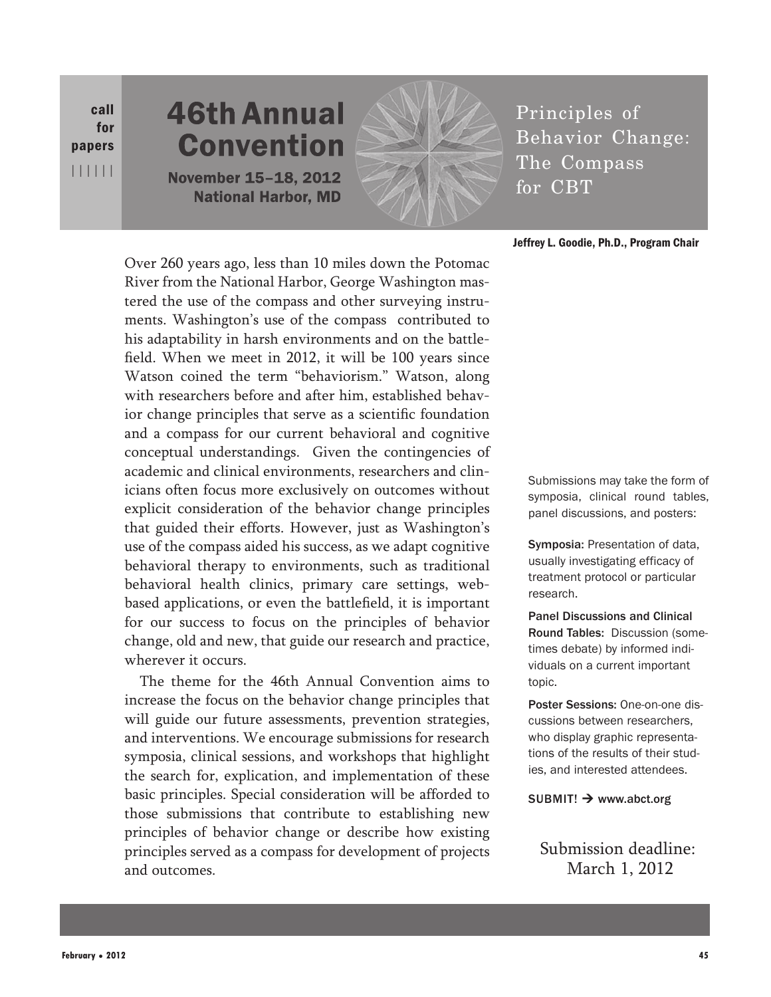call for papers ||||||

# **46th Annual Convention November 15-18, 2012 National Harbor, MD**



Principles of Behavior Change: The Compass for CBT

## Jeffrey L. Goodie, Ph.D., Program Chair

Over 260 years ago, less than 10 miles down the Potomac River from the National Harbor, George Washington mastered the use of the compass and other surveying instruments. Washington's use of the compass contributed to his adaptability in harsh environments and on the battlefield. When we meet in 2012, it will be 100 years since Watson coined the term "behaviorism." Watson, along with researchers before and after him, established behavior change principles that serve as a scientific foundation and a compass for our current behavioral and cognitive conceptual understandings. Given the contingencies of academic and clinical environments, researchers and clinicians often focus more exclusively on outcomes without explicit consideration of the behavior change principles that guided their efforts. However, just as Washington's use of the compass aided his success, as we adapt cognitive behavioral therapy to environments, such as traditional behavioral health clinics, primary care settings, webbased applications, or even the battlefield, it is important for our success to focus on the principles of behavior change, old and new, that guide our research and practice, wherever it occurs.

The theme for the 46th Annual Convention aims to increase the focus on the behavior change principles that will guide our future assessments, prevention strategies, and interventions. We encourage submissions for research symposia, clinical sessions, and workshops that highlight the search for, explication, and implementation of these basic principles. Special consideration will be afforded to those submissions that contribute to establishing new principles of behavior change or describe how existing principles served as a compass for development of projects and outcomes.

Submissions may take the form of symposia, clinical round tables, panel discussions, and posters:

Symposia: Presentation of data, usually investigating efficacy of treatment protocol or particular research.

Panel Discussions and Clinical Round Tables: Discussion (sometimes debate) by informed individuals on a current important topic.

Poster Sessions: One-on-one discussions between researchers, who display graphic representations of the results of their studies, and interested attendees.

 $SUBMIT! \rightarrow$  www.abct.org

Submission deadline: March 1, 2012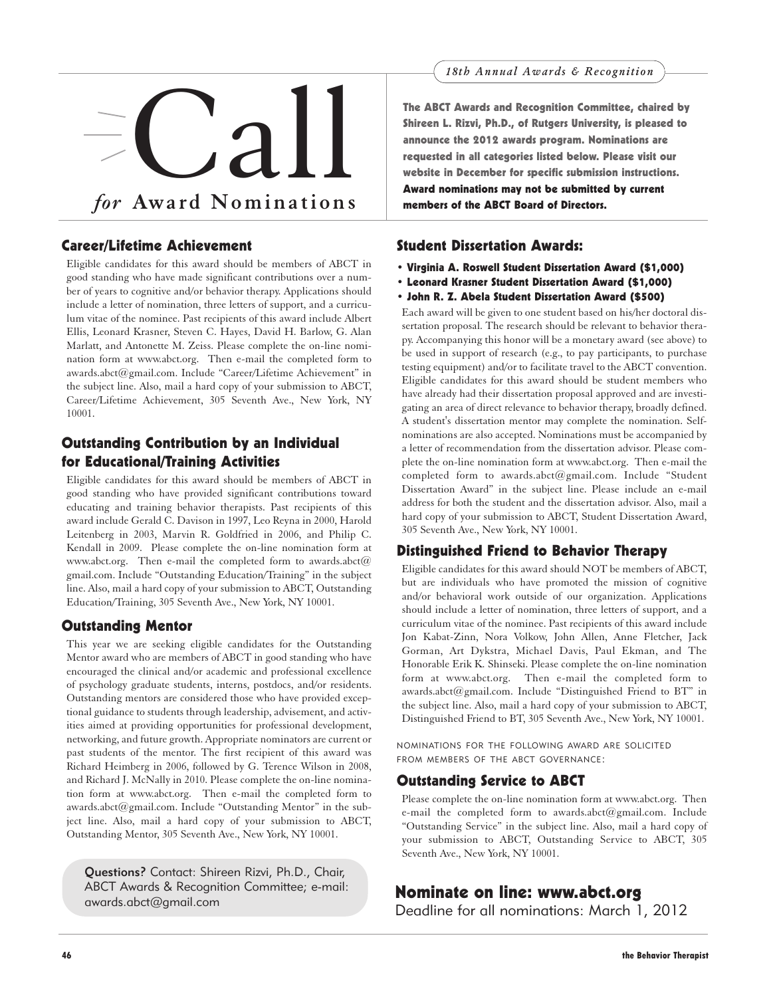

## Career/Lifetime Achievement

Eligible candidates for this award should be members of ABCT in good standing who have made significant contributions over a number of years to cognitive and/or behavior therapy. Applications should include a letter of nomination, three letters of support, and a curriculum vitae of the nominee. Past recipients of this award include Albert Ellis, Leonard Krasner, Steven C. Hayes, David H. Barlow, G. Alan Marlatt, and Antonette M. Zeiss. Please complete the on-line nomination form at www.abct.org. Then e-mail the completed form to awards.abct@gmail.com. Include "Career/Lifetime Achievement" in the subject line. Also, mail a hard copy of your submission to ABCT, Career/Lifetime Achievement, 305 Seventh Ave., New York, NY 10001.

## Outstanding Contribution by an Individual for Educational/Training Activities

Eligible candidates for this award should be members of ABCT in good standing who have provided significant contributions toward educating and training behavior therapists. Past recipients of this award include Gerald C. Davison in 1997, Leo Reyna in 2000, Harold Leitenberg in 2003, Marvin R. Goldfried in 2006, and Philip C. Kendall in 2009. Please complete the on-line nomination form at www.abct.org. Then e-mail the completed form to awards.abct $@$ gmail.com. Include "Outstanding Education/Training" in the subject line. Also, mail a hard copy of your submission to ABCT, Outstanding Education/Training, 305 Seventh Ave., New York, NY 10001.

## Outstanding Mentor

This year we are seeking eligible candidates for the Outstanding Mentor award who are members of ABCT in good standing who have encouraged the clinical and/or academic and professional excellence of psychology graduate students, interns, postdocs, and/or residents. Outstanding mentors are considered those who have provided exceptional guidance to students through leadership, advisement, and activities aimed at providing opportunities for professional development, networking, and future growth. Appropriate nominators are current or past students of the mentor. The first recipient of this award was Richard Heimberg in 2006, followed by G. Terence Wilson in 2008, and Richard J. McNally in 2010. Please complete the on-line nomination form at www.abct.org. Then e-mail the completed form to awards.abct@gmail.com. Include "Outstanding Mentor" in the subject line. Also, mail a hard copy of your submission to ABCT, Outstanding Mentor, 305 Seventh Ave., New York, NY 10001.

Questions? Contact: Shireen Rizvi, Ph.D., Chair, ABCT Awards & Recognition Committee; e-mail: awards.abct@gmail.com

The ABCT Awards and Recognition Committee, chaired by Shireen L. Rizvi, Ph.D., of Rutgers University, is pleased to announce the 2012 awards program. Nominations are requested in all categories listed below. Please visit our website in December for specific submission instructions. Award nominations may not be submitted by current members of the ABCT Board of Directors.

## Student Dissertation Awards:

- Virginia A. Roswell Student Dissertation Award (\$1,000)
- Leonard Krasner Student Dissertation Award (\$1,000)
- John R. Z. Abela Student Dissertation Award (\$500)

Each award will be given to one student based on his/her doctoral dissertation proposal. The research should be relevant to behavior therapy. Accompanying this honor will be a monetary award (see above) to be used in support of research (e.g., to pay participants, to purchase testing equipment) and/or to facilitate travel to the ABCT convention. Eligible candidates for this award should be student members who have already had their dissertation proposal approved and are investigating an area of direct relevance to behavior therapy, broadly defined. A student's dissertation mentor may complete the nomination. Selfnominations are also accepted. Nominations must be accompanied by a letter of recommendation from the dissertation advisor. Please complete the on-line nomination form at www.abct.org. Then e-mail the completed form to awards.abct@gmail.com. Include "Student Dissertation Award" in the subject line. Please include an e-mail address for both the student and the dissertation advisor. Also, mail a hard copy of your submission to ABCT, Student Dissertation Award, 305 Seventh Ave., New York, NY 10001.

## Distinguished Friend to Behavior Therapy

Eligible candidates for this award should NOT be members of ABCT, but are individuals who have promoted the mission of cognitive and/or behavioral work outside of our organization. Applications should include a letter of nomination, three letters of support, and a curriculum vitae of the nominee. Past recipients of this award include Jon Kabat-Zinn, Nora Volkow, John Allen, Anne Fletcher, Jack Gorman, Art Dykstra, Michael Davis, Paul Ekman, and The Honorable Erik K. Shinseki. Please complete the on-line nomination form at www.abct.org. Then e-mail the completed form to awards.abct@gmail.com. Include "Distinguished Friend to BT" in the subject line. Also, mail a hard copy of your submission to ABCT, Distinguished Friend to BT, 305 Seventh Ave., New York, NY 10001.

NOMINATIONS FOR THE FOLLOWING AWARD ARE SOLICITED FROM MEMBERS OF THE ABCT GOVERNANCE:

## Outstanding Service to ABCT

Please complete the on-line nomination form at www.abct.org. Then e-mail the completed form to awards.abct@gmail.com. Include "Outstanding Service" in the subject line. Also, mail a hard copy of your submission to ABCT, Outstanding Service to ABCT, 305 Seventh Ave., New York, NY 10001.

## Nominate on line: www.abct.org

Deadline for all nominations: March 1, 2012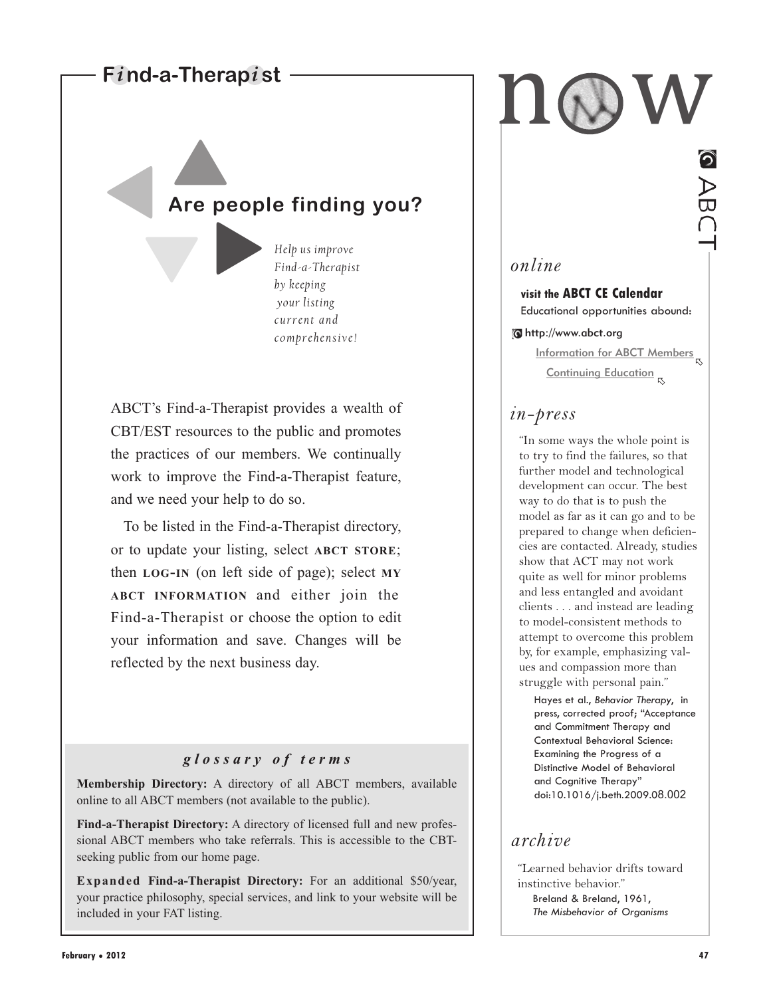## **Find-a-Therapist**

 $\blacktriangle$ 

-

-

-

# **Are people finding you?**

*Help us improve Find-a-Therapist by keeping your listing current and comprehensive!*

ABCT's Find-a-Therapist provides a wealth of CBT/EST resources to the public and promotes the practices of our members. We continually work to improve the Find-a-Therapist feature, and we need your help to do so.

To be listed in the Find-a-Therapist directory, or to update your listing, select **ABCT STORE**; then **LOG-IN** (on left side of page); select **MY ABCT INFORMATION** and either join the Find-a-Therapist or choose the option to edit your information and save. Changes will be reflected by the next business day.

## *glossary of terms*

**Membership Directory:** A directory of all ABCT members, available online to all ABCT members (not available to the public).

**Find-a-Therapist Directory:** A directory of licensed full and new professional ABCT members who take referrals. This is accessible to the CBTseeking public from our home page.

**Expanded Find-a-Therapist Directory:** For an additional \$50/year, your practice philosophy, special services, and link to your website will be included in your FAT listing.

n w

## *online*

**visit the ABCT CE Calendar** Educational opportunities abound:

http://www.abct.org

**Information for ABCT Members** Continuing Education <sub>ড</sub>

## *in-press*

"In some ways the whole point is to try to find the failures, so that further model and technological development can occur. The best way to do that is to push the model as far as it can go and to be prepared to change when deficiencies are contacted. Already, studies show that ACT may not work quite as well for minor problems and less entangled and avoidant clients . . . and instead are leading to model-consistent methods to attempt to overcome this problem by, for example, emphasizing values and compassion more than struggle with personal pain."

Hayes et al., *Behavior Therapy*, in press, corrected proof; "Acceptance and Commitment Therapy and Contextual Behavioral Science: Examining the Progress of a Distinctive Model of Behavioral and Cognitive Therapy" doi:10.1016/j.beth.2009.08.002

## *archive*

"Learned behavior drifts toward instinctive behavior." Breland & Breland, 1961, *The Misbehavior of Organisms*